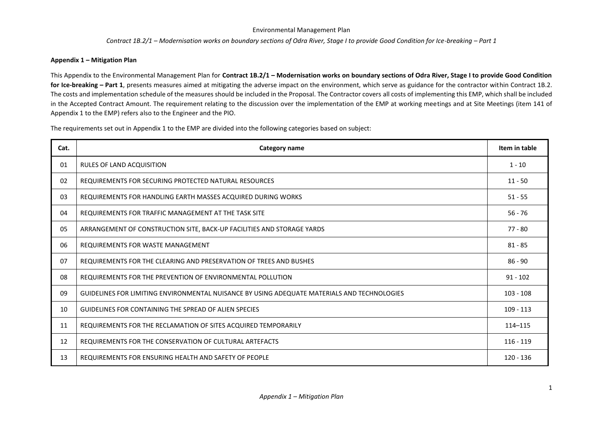#### *Contract 1B.2/1 – Modernisation works on boundary sections of Odra River, Stage I to provide Good Condition for Ice-breaking – Part 1*

### **Appendix 1 – Mitigation Plan**

This Appendix to the Environmental Management Plan for **Contract 1B.2/1 – Modernisation works on boundary sections of Odra River, Stage I to provide Good Condition**  for Ice-breaking – Part 1, presents measures aimed at mitigating the adverse impact on the environment, which serve as guidance for the contractor within Contract 1B.2. The costs and implementation schedule of the measures should be included in the Proposal. The Contractor covers all costs of implementing this EMP, which shall be included in the Accepted Contract Amount. The requirement relating to the discussion over the implementation of the EMP at working meetings and at Site Meetings (item 141 of Appendix 1 to the EMP) refers also to the Engineer and the PIO.

The requirements set out in Appendix 1 to the EMP are divided into the following categories based on subject:

| Cat. | Category name                                                                               |             |  |  |  |  |  |
|------|---------------------------------------------------------------------------------------------|-------------|--|--|--|--|--|
| 01   | <b>RULES OF LAND ACQUISITION</b>                                                            |             |  |  |  |  |  |
| 02   | REQUIREMENTS FOR SECURING PROTECTED NATURAL RESOURCES                                       |             |  |  |  |  |  |
| 03   | REQUIREMENTS FOR HANDLING EARTH MASSES ACQUIRED DURING WORKS                                | $51 - 55$   |  |  |  |  |  |
| 04   | REQUIREMENTS FOR TRAFFIC MANAGEMENT AT THE TASK SITE                                        |             |  |  |  |  |  |
| 05   | ARRANGEMENT OF CONSTRUCTION SITE, BACK-UP FACILITIES AND STORAGE YARDS                      |             |  |  |  |  |  |
| 06   | REQUIREMENTS FOR WASTE MANAGEMENT                                                           |             |  |  |  |  |  |
| 07   | REQUIREMENTS FOR THE CLEARING AND PRESERVATION OF TREES AND BUSHES                          | $86 - 90$   |  |  |  |  |  |
| 08   | REQUIREMENTS FOR THE PREVENTION OF ENVIRONMENTAL POLLUTION                                  |             |  |  |  |  |  |
| 09   | GUIDELINES FOR LIMITING ENVIRONMENTAL NUISANCE BY USING ADEQUATE MATERIALS AND TECHNOLOGIES |             |  |  |  |  |  |
| 10   | <b>GUIDELINES FOR CONTAINING THE SPREAD OF ALIEN SPECIES</b>                                | $109 - 113$ |  |  |  |  |  |
| 11   | REQUIREMENTS FOR THE RECLAMATION OF SITES ACQUIRED TEMPORARILY                              | 114-115     |  |  |  |  |  |
| 12   | REQUIREMENTS FOR THE CONSERVATION OF CULTURAL ARTEFACTS                                     |             |  |  |  |  |  |
| 13   | REQUIREMENTS FOR ENSURING HEALTH AND SAFETY OF PEOPLE                                       | $120 - 136$ |  |  |  |  |  |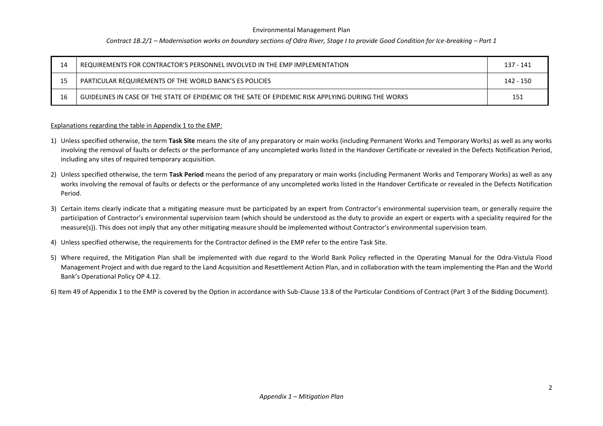#### *Contract 1B.2/1 – Modernisation works on boundary sections of Odra River, Stage I to provide Good Condition for Ice-breaking – Part 1*

| 14                                                      | REQUIREMENTS FOR CONTRACTOR'S PERSONNEL INVOLVED IN THE EMP IMPLEMENTATION                         | 137 - 141 |  |  |
|---------------------------------------------------------|----------------------------------------------------------------------------------------------------|-----------|--|--|
| PARTICULAR REQUIREMENTS OF THE WORLD BANK'S ES POLICIES |                                                                                                    |           |  |  |
| 16                                                      | GUIDELINES IN CASE OF THE STATE OF EPIDEMIC OR THE SATE OF EPIDEMIC RISK APPLYING DURING THE WORKS | 151       |  |  |

#### Explanations regarding the table in Appendix 1 to the EMP:

- 1) Unless specified otherwise, the term **Task Site** means the site of any preparatory or main works (including Permanent Works and Temporary Works) as well as any works involving the removal of faults or defects or the performance of any uncompleted works listed in the Handover Certificate or revealed in the Defects Notification Period, including any sites of required temporary acquisition.
- 2) Unless specified otherwise, the term **Task Period** means the period of any preparatory or main works (including Permanent Works and Temporary Works) as well as any works involving the removal of faults or defects or the performance of any uncompleted works listed in the Handover Certificate or revealed in the Defects Notification Period.
- 3) Certain items clearly indicate that a mitigating measure must be participated by an expert from Contractor's environmental supervision team, or generally require the participation of Contractor's environmental supervision team (which should be understood as the duty to provide an expert or experts with a speciality required for the measure(s)). This does not imply that any other mitigating measure should be implemented without Contractor's environmental supervision team.
- 4) Unless specified otherwise, the requirements for the Contractor defined in the EMP refer to the entire Task Site.
- 5) Where required, the Mitigation Plan shall be implemented with due regard to the World Bank Policy reflected in the Operating Manual for the Odra-Vistula Flood Management Project and with due regard to the Land Acquisition and Resettlement Action Plan, and in collaboration with the team implementing the Plan and the World Bank's Operational Policy OP 4.12.
- 6) Item 49 of Appendix 1 to the EMP is covered by the Option in accordance with Sub-Clause 13.8 of the Particular Conditions of Contract (Part 3 of the Bidding Document).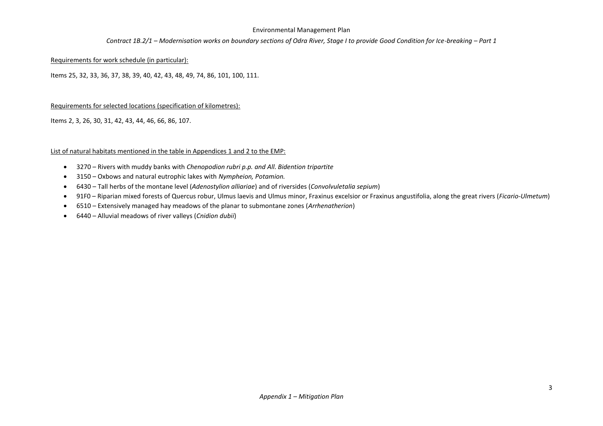#### *Contract 1B.2/1 – Modernisation works on boundary sections of Odra River, Stage I to provide Good Condition for Ice-breaking – Part 1*

#### Requirements for work schedule (in particular):

Items 25, 32, 33, 36, 37, 38, 39, 40, 42, 43, 48, 49, 74, 86, 101, 100, 111.

#### Requirements for selected locations (specification of kilometres):

Items 2, 3, 26, 30, 31, 42, 43, 44, 46, 66, 86, 107.

#### List of natural habitats mentioned in the table in Appendices 1 and 2 to the EMP:

- 3270 Rivers with muddy banks with *Chenopodion rubri p.p. and All. Bidention tripartite*
- 3150 Oxbows and natural eutrophic lakes with *Nympheion, Potamion.*
- 6430 Tall herbs of the montane level (*Adenostylion alliariae*) and of riversides (*Convolvuletalia sepium*)
- 91F0 Riparian mixed forests of Quercus robur, Ulmus laevis and Ulmus minor, Fraxinus excelsior or Fraxinus angustifolia, along the great rivers (*Ficario-Ulmetum*)
- 6510 Extensively managed hay meadows of the planar to submontane zones (*Arrhenatherion*)
- 6440 Alluvial meadows of river valleys (*Cnidion dubii*)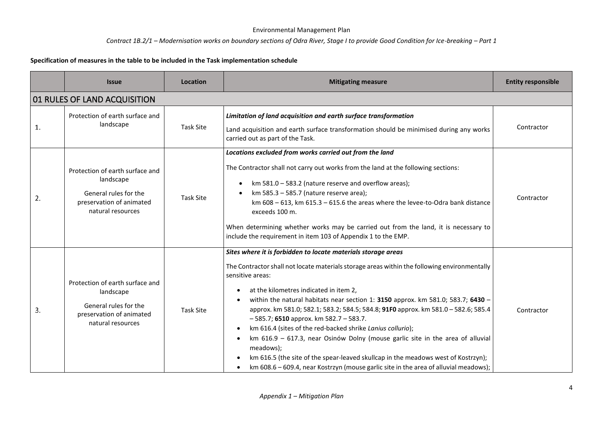### *Contract 1B.2/1 – Modernisation works on boundary sections of Odra River, Stage I to provide Good Condition for Ice-breaking – Part 1*

### **Specification of measures in the table to be included in the Task implementation schedule**

|    | <b>Issue</b>                                                                                                           | Location         | <b>Mitigating measure</b>                                                                                                                                                                                                                                                                                                                                                                                                                                                                                                                                                                                                                                                                                                                                                                    | <b>Entity responsible</b> |
|----|------------------------------------------------------------------------------------------------------------------------|------------------|----------------------------------------------------------------------------------------------------------------------------------------------------------------------------------------------------------------------------------------------------------------------------------------------------------------------------------------------------------------------------------------------------------------------------------------------------------------------------------------------------------------------------------------------------------------------------------------------------------------------------------------------------------------------------------------------------------------------------------------------------------------------------------------------|---------------------------|
|    | 01 RULES OF LAND ACQUISITION                                                                                           |                  |                                                                                                                                                                                                                                                                                                                                                                                                                                                                                                                                                                                                                                                                                                                                                                                              |                           |
| 1. | Protection of earth surface and<br>landscape                                                                           | <b>Task Site</b> | Limitation of land acquisition and earth surface transformation<br>Land acquisition and earth surface transformation should be minimised during any works<br>carried out as part of the Task.                                                                                                                                                                                                                                                                                                                                                                                                                                                                                                                                                                                                | Contractor                |
| 2. | Protection of earth surface and<br>landscape<br>General rules for the<br>preservation of animated<br>natural resources | Task Site        | Locations excluded from works carried out from the land<br>The Contractor shall not carry out works from the land at the following sections:<br>km 581.0 - 583.2 (nature reserve and overflow areas);<br>km 585.3 - 585.7 (nature reserve area);<br>km $608 - 613$ , km $615.3 - 615.6$ the areas where the levee-to-Odra bank distance<br>exceeds 100 m.<br>When determining whether works may be carried out from the land, it is necessary to<br>include the requirement in item 103 of Appendix 1 to the EMP.                                                                                                                                                                                                                                                                            | Contractor                |
| 3. | Protection of earth surface and<br>landscape<br>General rules for the<br>preservation of animated<br>natural resources | Task Site        | Sites where it is forbidden to locate materials storage areas<br>The Contractor shall not locate materials storage areas within the following environmentally<br>sensitive areas:<br>at the kilometres indicated in item 2,<br>within the natural habitats near section 1: 3150 approx. km 581.0; 583.7; 6430 -<br>approx. km 581.0; 582.1; 583.2; 584.5; 584.8; 91FO approx. km 581.0 - 582.6; 585.4<br>$-585.7$ ; 6510 approx. km 582.7 - 583.7.<br>km 616.4 (sites of the red-backed shrike Lanius collurio);<br>km 616.9 - 617.3, near Osinów Dolny (mouse garlic site in the area of alluvial<br>meadows);<br>km 616.5 (the site of the spear-leaved skullcap in the meadows west of Kostrzyn);<br>km 608.6 - 609.4, near Kostrzyn (mouse garlic site in the area of alluvial meadows); | Contractor                |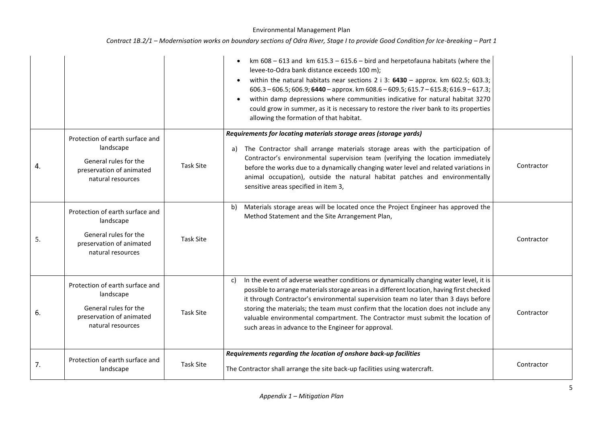|    |                                                                                                                        |                  | km $608 - 613$ and km $615.3 - 615.6 - 617$ and herpetofauna habitats (where the<br>levee-to-Odra bank distance exceeds 100 m);<br>within the natural habitats near sections 2 i 3: $6430 -$ approx. km 602.5; 603.3;<br>$606.3 - 606.5$ ; 606.9; 6440 - approx. km 608.6 - 609.5; 615.7 - 615.8; 616.9 - 617.3;<br>within damp depressions where communities indicative for natural habitat 3270<br>could grow in summer, as it is necessary to restore the river bank to its properties<br>allowing the formation of that habitat. |            |
|----|------------------------------------------------------------------------------------------------------------------------|------------------|--------------------------------------------------------------------------------------------------------------------------------------------------------------------------------------------------------------------------------------------------------------------------------------------------------------------------------------------------------------------------------------------------------------------------------------------------------------------------------------------------------------------------------------|------------|
| 4. | Protection of earth surface and<br>landscape<br>General rules for the<br>preservation of animated<br>natural resources | <b>Task Site</b> | Requirements for locating materials storage areas (storage yards)<br>The Contractor shall arrange materials storage areas with the participation of<br>a)<br>Contractor's environmental supervision team (verifying the location immediately<br>before the works due to a dynamically changing water level and related variations in<br>animal occupation), outside the natural habitat patches and environmentally<br>sensitive areas specified in item 3,                                                                          | Contractor |
| 5. | Protection of earth surface and<br>landscape<br>General rules for the<br>preservation of animated<br>natural resources | <b>Task Site</b> | Materials storage areas will be located once the Project Engineer has approved the<br>b)<br>Method Statement and the Site Arrangement Plan,                                                                                                                                                                                                                                                                                                                                                                                          | Contractor |
| 6. | Protection of earth surface and<br>landscape<br>General rules for the<br>preservation of animated<br>natural resources | <b>Task Site</b> | In the event of adverse weather conditions or dynamically changing water level, it is<br>C)<br>possible to arrange materials storage areas in a different location, having first checked<br>it through Contractor's environmental supervision team no later than 3 days before<br>storing the materials; the team must confirm that the location does not include any<br>valuable environmental compartment. The Contractor must submit the location of<br>such areas in advance to the Engineer for approval.                       | Contractor |
| 7. | Protection of earth surface and<br>landscape                                                                           | <b>Task Site</b> | Requirements regarding the location of onshore back-up facilities<br>The Contractor shall arrange the site back-up facilities using watercraft.                                                                                                                                                                                                                                                                                                                                                                                      | Contractor |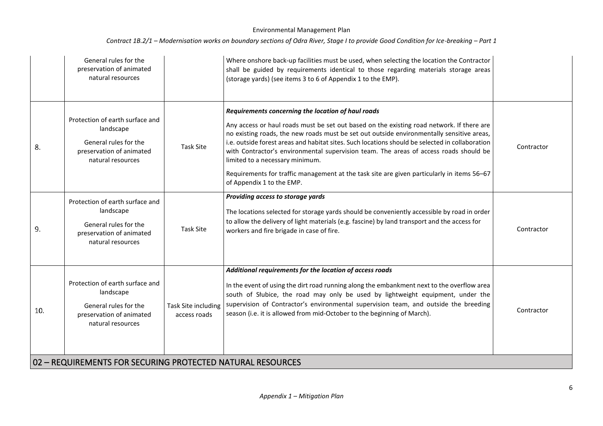|     | General rules for the<br>preservation of animated<br>natural resources                                                 |                                     | Where onshore back-up facilities must be used, when selecting the location the Contractor<br>shall be guided by requirements identical to those regarding materials storage areas<br>(storage yards) (see items 3 to 6 of Appendix 1 to the EMP).                                                                                                                                                                                                                                                                                                                                                      |            |
|-----|------------------------------------------------------------------------------------------------------------------------|-------------------------------------|--------------------------------------------------------------------------------------------------------------------------------------------------------------------------------------------------------------------------------------------------------------------------------------------------------------------------------------------------------------------------------------------------------------------------------------------------------------------------------------------------------------------------------------------------------------------------------------------------------|------------|
| 8.  | Protection of earth surface and<br>landscape<br>General rules for the<br>preservation of animated<br>natural resources | <b>Task Site</b>                    | Requirements concerning the location of haul roads<br>Any access or haul roads must be set out based on the existing road network. If there are<br>no existing roads, the new roads must be set out outside environmentally sensitive areas,<br>i.e. outside forest areas and habitat sites. Such locations should be selected in collaboration<br>with Contractor's environmental supervision team. The areas of access roads should be<br>limited to a necessary minimum.<br>Requirements for traffic management at the task site are given particularly in items 56-67<br>of Appendix 1 to the EMP. | Contractor |
| 9.  | Protection of earth surface and<br>landscape<br>General rules for the<br>preservation of animated<br>natural resources | <b>Task Site</b>                    | Providing access to storage yards<br>The locations selected for storage yards should be conveniently accessible by road in order<br>to allow the delivery of light materials (e.g. fascine) by land transport and the access for<br>workers and fire brigade in case of fire.                                                                                                                                                                                                                                                                                                                          | Contractor |
| 10. | Protection of earth surface and<br>landscape<br>General rules for the<br>preservation of animated<br>natural resources | Task Site including<br>access roads | Additional requirements for the location of access roads<br>In the event of using the dirt road running along the embankment next to the overflow area<br>south of Słubice, the road may only be used by lightweight equipment, under the<br>supervision of Contractor's environmental supervision team, and outside the breeding<br>season (i.e. it is allowed from mid-October to the beginning of March).                                                                                                                                                                                           | Contractor |
|     | 02 - REQUIREMENTS FOR SECURING PROTECTED NATURAL RESOURCES                                                             |                                     |                                                                                                                                                                                                                                                                                                                                                                                                                                                                                                                                                                                                        |            |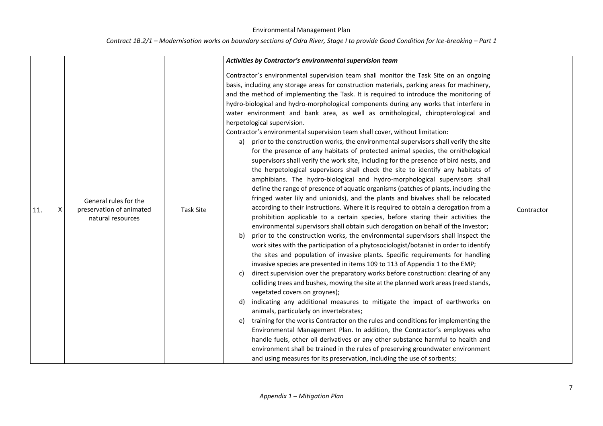|          |                                                                        |                  | Activities by Contractor's environmental supervision team                                                                                                                                                                                                                                                                                                                                                                                                                                                                                                                                                                                                                                                                                                                                                                                                                                                                                                                                                                                                                                                                                                                                                                                                                                                                                                                                                                                                                                                                                                                                                                                                                                                                                                                                                                                                                                                                                                                                                                                                                                                                                                                                                                                                                                                                                                                                                                                                                                                                                                                                                |            |
|----------|------------------------------------------------------------------------|------------------|----------------------------------------------------------------------------------------------------------------------------------------------------------------------------------------------------------------------------------------------------------------------------------------------------------------------------------------------------------------------------------------------------------------------------------------------------------------------------------------------------------------------------------------------------------------------------------------------------------------------------------------------------------------------------------------------------------------------------------------------------------------------------------------------------------------------------------------------------------------------------------------------------------------------------------------------------------------------------------------------------------------------------------------------------------------------------------------------------------------------------------------------------------------------------------------------------------------------------------------------------------------------------------------------------------------------------------------------------------------------------------------------------------------------------------------------------------------------------------------------------------------------------------------------------------------------------------------------------------------------------------------------------------------------------------------------------------------------------------------------------------------------------------------------------------------------------------------------------------------------------------------------------------------------------------------------------------------------------------------------------------------------------------------------------------------------------------------------------------------------------------------------------------------------------------------------------------------------------------------------------------------------------------------------------------------------------------------------------------------------------------------------------------------------------------------------------------------------------------------------------------------------------------------------------------------------------------------------------------|------------|
| 11.<br>X | General rules for the<br>preservation of animated<br>natural resources | <b>Task Site</b> | Contractor's environmental supervision team shall monitor the Task Site on an ongoing<br>basis, including any storage areas for construction materials, parking areas for machinery,<br>and the method of implementing the Task. It is required to introduce the monitoring of<br>hydro-biological and hydro-morphological components during any works that interfere in<br>water environment and bank area, as well as ornithological, chiropterological and<br>herpetological supervision.<br>Contractor's environmental supervision team shall cover, without limitation:<br>prior to the construction works, the environmental supervisors shall verify the site<br>a)<br>for the presence of any habitats of protected animal species, the ornithological<br>supervisors shall verify the work site, including for the presence of bird nests, and<br>the herpetological supervisors shall check the site to identify any habitats of<br>amphibians. The hydro-biological and hydro-morphological supervisors shall<br>define the range of presence of aquatic organisms (patches of plants, including the<br>fringed water lily and unionids), and the plants and bivalves shall be relocated<br>according to their instructions. Where it is required to obtain a derogation from a<br>prohibition applicable to a certain species, before staring their activities the<br>environmental supervisors shall obtain such derogation on behalf of the Investor;<br>prior to the construction works, the environmental supervisors shall inspect the<br>b)<br>work sites with the participation of a phytosociologist/botanist in order to identify<br>the sites and population of invasive plants. Specific requirements for handling<br>invasive species are presented in items 109 to 113 of Appendix 1 to the EMP;<br>direct supervision over the preparatory works before construction: clearing of any<br>C)<br>colliding trees and bushes, mowing the site at the planned work areas (reed stands,<br>vegetated covers on groynes);<br>indicating any additional measures to mitigate the impact of earthworks on<br>d)<br>animals, particularly on invertebrates;<br>training for the works Contractor on the rules and conditions for implementing the<br>e)<br>Environmental Management Plan. In addition, the Contractor's employees who<br>handle fuels, other oil derivatives or any other substance harmful to health and<br>environment shall be trained in the rules of preserving groundwater environment<br>and using measures for its preservation, including the use of sorbents; | Contractor |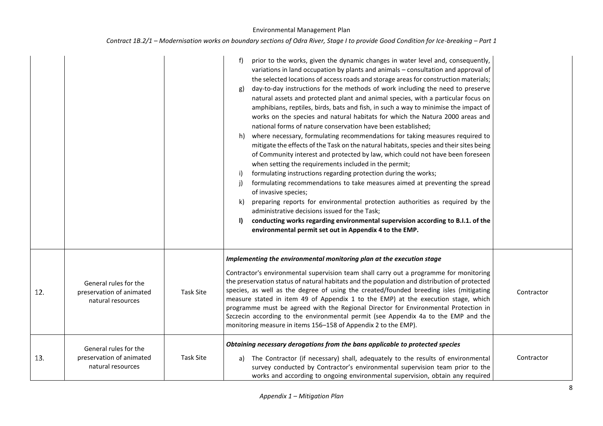| Contract 1B.2/1 – Modernisation works on boundary sections of Odra River, Stage I to provide Good Condition for Ice-breaking – Part 1 |  |  |  |
|---------------------------------------------------------------------------------------------------------------------------------------|--|--|--|
|---------------------------------------------------------------------------------------------------------------------------------------|--|--|--|

|     |                                                                        |                  | prior to the works, given the dynamic changes in water level and, consequently,<br>variations in land occupation by plants and animals - consultation and approval of<br>the selected locations of access roads and storage areas for construction materials;<br>day-to-day instructions for the methods of work including the need to preserve<br>g)<br>natural assets and protected plant and animal species, with a particular focus on<br>amphibians, reptiles, birds, bats and fish, in such a way to minimise the impact of<br>works on the species and natural habitats for which the Natura 2000 areas and<br>national forms of nature conservation have been established;<br>h) where necessary, formulating recommendations for taking measures required to<br>mitigate the effects of the Task on the natural habitats, species and their sites being<br>of Community interest and protected by law, which could not have been foreseen<br>when setting the requirements included in the permit;<br>formulating instructions regarding protection during the works;<br>i)<br>formulating recommendations to take measures aimed at preventing the spread<br>i)<br>of invasive species;<br>preparing reports for environmental protection authorities as required by the<br>k)<br>administrative decisions issued for the Task;<br>conducting works regarding environmental supervision according to B.I.1. of the<br>$\mathbf{I}$<br>environmental permit set out in Appendix 4 to the EMP. |            |
|-----|------------------------------------------------------------------------|------------------|--------------------------------------------------------------------------------------------------------------------------------------------------------------------------------------------------------------------------------------------------------------------------------------------------------------------------------------------------------------------------------------------------------------------------------------------------------------------------------------------------------------------------------------------------------------------------------------------------------------------------------------------------------------------------------------------------------------------------------------------------------------------------------------------------------------------------------------------------------------------------------------------------------------------------------------------------------------------------------------------------------------------------------------------------------------------------------------------------------------------------------------------------------------------------------------------------------------------------------------------------------------------------------------------------------------------------------------------------------------------------------------------------------------------------------------------------------------------------------------------------------|------------|
| 12. | General rules for the<br>preservation of animated<br>natural resources | <b>Task Site</b> | Implementing the environmental monitoring plan at the execution stage<br>Contractor's environmental supervision team shall carry out a programme for monitoring<br>the preservation status of natural habitats and the population and distribution of protected<br>species, as well as the degree of using the created/founded breeding isles (mitigating<br>measure stated in item 49 of Appendix 1 to the EMP) at the execution stage, which<br>programme must be agreed with the Regional Director for Environmental Protection in<br>Szczecin according to the environmental permit (see Appendix 4a to the EMP and the<br>monitoring measure in items 156-158 of Appendix 2 to the EMP).                                                                                                                                                                                                                                                                                                                                                                                                                                                                                                                                                                                                                                                                                                                                                                                                          | Contractor |
| 13. | General rules for the<br>preservation of animated<br>natural resources | <b>Task Site</b> | Obtaining necessary derogations from the bans applicable to protected species<br>a) The Contractor (if necessary) shall, adequately to the results of environmental<br>survey conducted by Contractor's environmental supervision team prior to the<br>works and according to ongoing environmental supervision, obtain any required                                                                                                                                                                                                                                                                                                                                                                                                                                                                                                                                                                                                                                                                                                                                                                                                                                                                                                                                                                                                                                                                                                                                                                   | Contractor |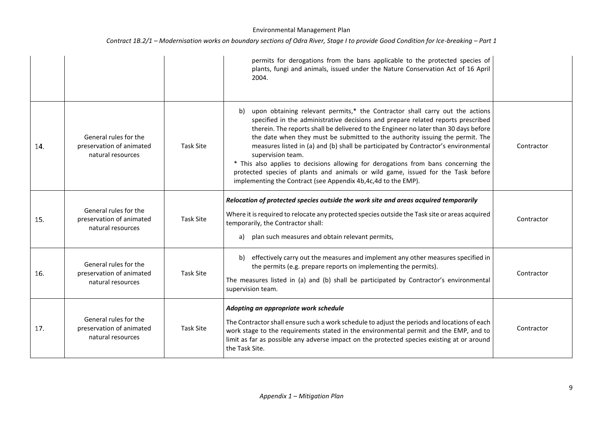|     |                                                                        |                  | permits for derogations from the bans applicable to the protected species of<br>plants, fungi and animals, issued under the Nature Conservation Act of 16 April<br>2004.                                                                                                                                                                                                                                                                                                                                                                                                                                                                                                                                |            |
|-----|------------------------------------------------------------------------|------------------|---------------------------------------------------------------------------------------------------------------------------------------------------------------------------------------------------------------------------------------------------------------------------------------------------------------------------------------------------------------------------------------------------------------------------------------------------------------------------------------------------------------------------------------------------------------------------------------------------------------------------------------------------------------------------------------------------------|------------|
| 14. | General rules for the<br>preservation of animated<br>natural resources | <b>Task Site</b> | upon obtaining relevant permits,* the Contractor shall carry out the actions<br>b)<br>specified in the administrative decisions and prepare related reports prescribed<br>therein. The reports shall be delivered to the Engineer no later than 30 days before<br>the date when they must be submitted to the authority issuing the permit. The<br>measures listed in (a) and (b) shall be participated by Contractor's environmental<br>supervision team.<br>* This also applies to decisions allowing for derogations from bans concerning the<br>protected species of plants and animals or wild game, issued for the Task before<br>implementing the Contract (see Appendix 4b, 4c, 4d to the EMP). | Contractor |
| 15. | General rules for the<br>preservation of animated<br>natural resources | <b>Task Site</b> | Relocation of protected species outside the work site and areas acquired temporarily<br>Where it is required to relocate any protected species outside the Task site or areas acquired<br>temporarily, the Contractor shall:<br>plan such measures and obtain relevant permits,<br>a)                                                                                                                                                                                                                                                                                                                                                                                                                   | Contractor |
| 16. | General rules for the<br>preservation of animated<br>natural resources | <b>Task Site</b> | effectively carry out the measures and implement any other measures specified in<br>b)<br>the permits (e.g. prepare reports on implementing the permits).<br>The measures listed in (a) and (b) shall be participated by Contractor's environmental<br>supervision team.                                                                                                                                                                                                                                                                                                                                                                                                                                | Contractor |
| 17. | General rules for the<br>preservation of animated<br>natural resources | <b>Task Site</b> | Adopting an appropriate work schedule<br>The Contractor shall ensure such a work schedule to adjust the periods and locations of each<br>work stage to the requirements stated in the environmental permit and the EMP, and to<br>limit as far as possible any adverse impact on the protected species existing at or around<br>the Task Site.                                                                                                                                                                                                                                                                                                                                                          | Contractor |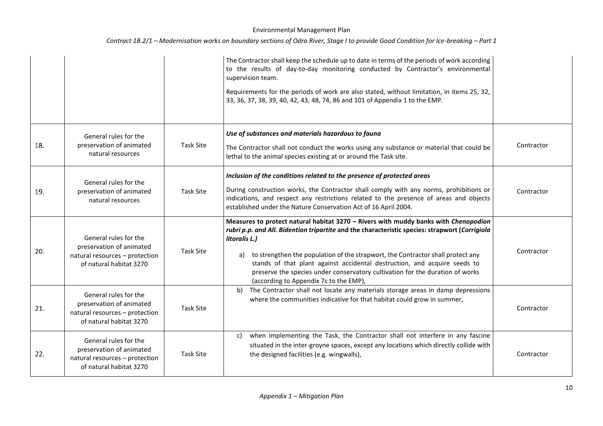|     |                                                                                                                |                  | The Contractor shall keep the schedule up to date in terms of the periods of work according<br>to the results of day-to-day monitoring conducted by Contractor's environmental<br>supervision team.<br>Requirements for the periods of work are also stated, without limitation, in items 25, 32,<br>33, 36, 37, 38, 39, 40, 42, 43, 48, 74, 86 and 101 of Appendix 1 to the EMP.                                                                                                                    |            |
|-----|----------------------------------------------------------------------------------------------------------------|------------------|------------------------------------------------------------------------------------------------------------------------------------------------------------------------------------------------------------------------------------------------------------------------------------------------------------------------------------------------------------------------------------------------------------------------------------------------------------------------------------------------------|------------|
| 18. | General rules for the<br>preservation of animated<br>natural resources                                         | <b>Task Site</b> | Use of substances and materials hazardous to fauna<br>The Contractor shall not conduct the works using any substance or material that could be<br>lethal to the animal species existing at or around the Task site.                                                                                                                                                                                                                                                                                  | Contractor |
| 19. | General rules for the<br>preservation of animated<br>natural resources                                         | <b>Task Site</b> | Inclusion of the conditions related to the presence of protected areas<br>During construction works, the Contractor shall comply with any norms, prohibitions or<br>indications, and respect any restrictions related to the presence of areas and objects<br>established under the Nature Conservation Act of 16 April 2004.                                                                                                                                                                        | Contractor |
| 20. | General rules for the<br>preservation of animated<br>natural resources - protection<br>of natural habitat 3270 | <b>Task Site</b> | Measures to protect natural habitat 3270 - Rivers with muddy banks with Chenopodion<br>rubri p.p. and All. Bidention tripartite and the characteristic species: strapwort (Corrigiola<br>litoralis L.)<br>a) to strengthen the population of the strapwort, the Contractor shall protect any<br>stands of that plant against accidental destruction, and acquire seeds to<br>preserve the species under conservatory cultivation for the duration of works<br>(according to Appendix 7c to the EMP), | Contractor |
| 21. | General rules for the<br>preservation of animated<br>natural resources - protection<br>of natural habitat 3270 | Task Site        | The Contractor shall not locate any materials storage areas in damp depressions<br>b)<br>where the communities indicative for that habitat could grow in summer,                                                                                                                                                                                                                                                                                                                                     | Contractor |
| 22. | General rules for the<br>preservation of animated<br>natural resources - protection<br>of natural habitat 3270 | Task Site        | when implementing the Task, the Contractor shall not interfere in any fascine<br>c)<br>situated in the inter-groyne spaces, except any locations which directly collide with<br>the designed facilities (e.g. wingwalls),                                                                                                                                                                                                                                                                            | Contractor |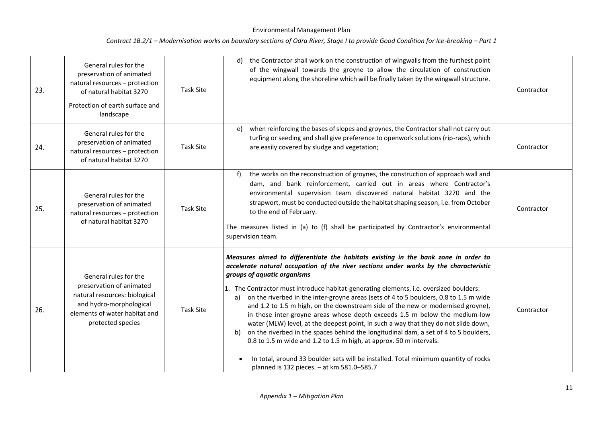| 23. | General rules for the<br>preservation of animated<br>natural resources - protection<br>of natural habitat 3270<br>Protection of earth surface and<br>landscape      | <b>Task Site</b> | d) the Contractor shall work on the construction of wingwalls from the furthest point<br>of the wingwall towards the groyne to allow the circulation of construction<br>equipment along the shoreline which will be finally taken by the wingwall structure.                                                                                                                                                                                                                                                                                                                                                                                                                                                                                                                                                                                                                                                                                                          | Contractor |
|-----|---------------------------------------------------------------------------------------------------------------------------------------------------------------------|------------------|-----------------------------------------------------------------------------------------------------------------------------------------------------------------------------------------------------------------------------------------------------------------------------------------------------------------------------------------------------------------------------------------------------------------------------------------------------------------------------------------------------------------------------------------------------------------------------------------------------------------------------------------------------------------------------------------------------------------------------------------------------------------------------------------------------------------------------------------------------------------------------------------------------------------------------------------------------------------------|------------|
| 24. | General rules for the<br>preservation of animated<br>natural resources - protection<br>of natural habitat 3270                                                      | <b>Task Site</b> | when reinforcing the bases of slopes and groynes, the Contractor shall not carry out<br>e)<br>turfing or seeding and shall give preference to openwork solutions (rip-raps), which<br>are easily covered by sludge and vegetation;                                                                                                                                                                                                                                                                                                                                                                                                                                                                                                                                                                                                                                                                                                                                    | Contractor |
| 25. | General rules for the<br>preservation of animated<br>natural resources - protection<br>of natural habitat 3270                                                      | <b>Task Site</b> | the works on the reconstruction of groynes, the construction of approach wall and<br>dam, and bank reinforcement, carried out in areas where Contractor's<br>environmental supervision team discovered natural habitat 3270 and the<br>strapwort, must be conducted outside the habitat shaping season, i.e. from October<br>to the end of February.<br>The measures listed in (a) to (f) shall be participated by Contractor's environmental<br>supervision team.                                                                                                                                                                                                                                                                                                                                                                                                                                                                                                    | Contractor |
| 26. | General rules for the<br>preservation of animated<br>natural resources: biological<br>and hydro-morphological<br>elements of water habitat and<br>protected species | <b>Task Site</b> | Measures aimed to differentiate the habitats existing in the bank zone in order to<br>accelerate natural occupation of the river sections under works by the characteristic<br>groups of aquatic organisms<br>1. The Contractor must introduce habitat-generating elements, i.e. oversized boulders:<br>on the riverbed in the inter-groyne areas (sets of 4 to 5 boulders, 0.8 to 1.5 m wide<br>a)<br>and 1.2 to 1.5 m high, on the downstream side of the new or modernised groyne),<br>in those inter-groyne areas whose depth exceeds 1.5 m below the medium-low<br>water (MLW) level, at the deepest point, in such a way that they do not slide down,<br>on the riverbed in the spaces behind the longitudinal dam, a set of 4 to 5 boulders,<br>b)<br>0.8 to 1.5 m wide and 1.2 to 1.5 m high, at approx. 50 m intervals.<br>In total, around 33 boulder sets will be installed. Total minimum quantity of rocks<br>planned is 132 pieces. - at km 581.0-585.7 | Contractor |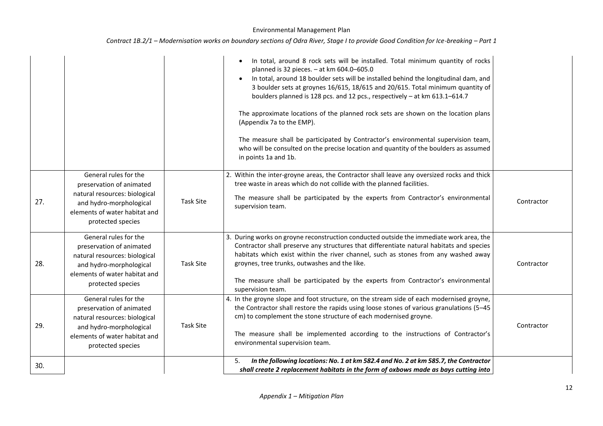|  |  |  | Contract 1B.2/1 – Modernisation works on boundary sections of Odra River, Stage I to provide Good Condition for Ice-breaking – Part 1 |
|--|--|--|---------------------------------------------------------------------------------------------------------------------------------------|
|--|--|--|---------------------------------------------------------------------------------------------------------------------------------------|

|     |                                                                                                                                                                     |                  | In total, around 8 rock sets will be installed. Total minimum quantity of rocks<br>planned is 32 pieces. - at km 604.0-605.0<br>In total, around 18 boulder sets will be installed behind the longitudinal dam, and<br>3 boulder sets at groynes 16/615, 18/615 and 20/615. Total minimum quantity of<br>boulders planned is 128 pcs. and 12 pcs., respectively - at km 613.1-614.7<br>The approximate locations of the planned rock sets are shown on the location plans<br>(Appendix 7a to the EMP).<br>The measure shall be participated by Contractor's environmental supervision team,<br>who will be consulted on the precise location and quantity of the boulders as assumed<br>in points 1a and 1b. |            |
|-----|---------------------------------------------------------------------------------------------------------------------------------------------------------------------|------------------|--------------------------------------------------------------------------------------------------------------------------------------------------------------------------------------------------------------------------------------------------------------------------------------------------------------------------------------------------------------------------------------------------------------------------------------------------------------------------------------------------------------------------------------------------------------------------------------------------------------------------------------------------------------------------------------------------------------|------------|
| 27. | General rules for the<br>preservation of animated<br>natural resources: biological<br>and hydro-morphological<br>elements of water habitat and<br>protected species | <b>Task Site</b> | 2. Within the inter-groyne areas, the Contractor shall leave any oversized rocks and thick<br>tree waste in areas which do not collide with the planned facilities.<br>The measure shall be participated by the experts from Contractor's environmental<br>supervision team.                                                                                                                                                                                                                                                                                                                                                                                                                                 | Contractor |
| 28. | General rules for the<br>preservation of animated<br>natural resources: biological<br>and hydro-morphological<br>elements of water habitat and<br>protected species | <b>Task Site</b> | 3. During works on groyne reconstruction conducted outside the immediate work area, the<br>Contractor shall preserve any structures that differentiate natural habitats and species<br>habitats which exist within the river channel, such as stones from any washed away<br>groynes, tree trunks, outwashes and the like.<br>The measure shall be participated by the experts from Contractor's environmental<br>supervision team.                                                                                                                                                                                                                                                                          | Contractor |
| 29. | General rules for the<br>preservation of animated<br>natural resources: biological<br>and hydro-morphological<br>elements of water habitat and<br>protected species | <b>Task Site</b> | 4. In the groyne slope and foot structure, on the stream side of each modernised groyne,<br>the Contractor shall restore the rapids using loose stones of various granulations (5-45<br>cm) to complement the stone structure of each modernised groyne.<br>The measure shall be implemented according to the instructions of Contractor's<br>environmental supervision team.                                                                                                                                                                                                                                                                                                                                | Contractor |
| 30. |                                                                                                                                                                     |                  | In the following locations: No. 1 at km 582.4 and No. 2 at km 585.7, the Contractor<br>5.<br>shall create 2 replacement habitats in the form of oxbows made as bays cutting into                                                                                                                                                                                                                                                                                                                                                                                                                                                                                                                             |            |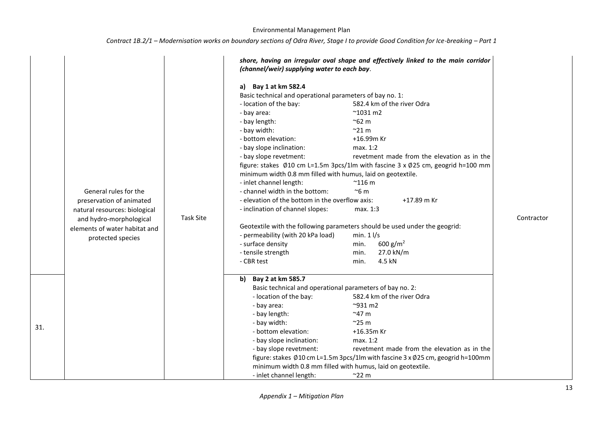| Contract 1B.2/1 – Modernisation works on boundary sections of Odra River, Stage I to provide Good Condition for Ice-breaking – Part 1 |  |  |  |
|---------------------------------------------------------------------------------------------------------------------------------------|--|--|--|
|---------------------------------------------------------------------------------------------------------------------------------------|--|--|--|

|     |                               |                  | (channel/weir) supplying water to each bay.                 | shore, having an irregular oval shape and effectively linked to the main corridor |            |
|-----|-------------------------------|------------------|-------------------------------------------------------------|-----------------------------------------------------------------------------------|------------|
|     |                               |                  | a) Bay 1 at km 582.4                                        |                                                                                   |            |
|     |                               |                  | Basic technical and operational parameters of bay no. 1:    |                                                                                   |            |
|     |                               |                  | - location of the bay:                                      | 582.4 km of the river Odra                                                        |            |
|     |                               |                  | - bay area:                                                 | $^{\sim}$ 1031 m2                                                                 |            |
|     |                               |                  | - bay length:                                               | $^{\sim}$ 62 m                                                                    |            |
|     |                               |                  | - bay width:                                                | $^{\sim}$ 21 m                                                                    |            |
|     |                               |                  | - bottom elevation:                                         | +16.99m Kr                                                                        |            |
|     |                               |                  | - bay slope inclination:                                    | max. 1:2                                                                          |            |
|     |                               |                  | - bay slope revetment:                                      | revetment made from the elevation as in the                                       |            |
|     |                               |                  |                                                             | figure: stakes Ø10 cm L=1.5m 3pcs/1lm with fascine 3 x Ø25 cm, geogrid h=100 mm   |            |
|     |                               |                  | minimum width 0.8 mm filled with humus, laid on geotextile. |                                                                                   |            |
|     |                               |                  | - inlet channel length:                                     | $^{\sim}$ 116 m                                                                   |            |
|     | General rules for the         |                  | - channel width in the bottom:                              | $~\sim$ 6 m                                                                       |            |
|     | preservation of animated      |                  | - elevation of the bottom in the overflow axis:             | +17.89 m Kr                                                                       |            |
|     | natural resources: biological |                  | - inclination of channel slopes:                            | max. 1:3                                                                          |            |
|     | and hydro-morphological       | <b>Task Site</b> |                                                             |                                                                                   | Contractor |
|     | elements of water habitat and |                  |                                                             | Geotextile with the following parameters should be used under the geogrid:        |            |
|     | protected species             |                  | - permeability (with 20 kPa load)                           | min. $1 \frac{1}{s}$                                                              |            |
|     |                               |                  | - surface density                                           | 600 g/m <sup>2</sup><br>min.                                                      |            |
|     |                               |                  | - tensile strength                                          | 27.0 kN/m<br>min.                                                                 |            |
|     |                               |                  | - CBR test                                                  | 4.5 kN<br>min.                                                                    |            |
|     |                               |                  | b) Bay 2 at km 585.7                                        |                                                                                   |            |
|     |                               |                  | Basic technical and operational parameters of bay no. 2:    |                                                                                   |            |
|     |                               |                  | - location of the bay:                                      | 582.4 km of the river Odra                                                        |            |
|     |                               |                  | - bay area:                                                 | $^{\sim}$ 931 m2                                                                  |            |
|     |                               |                  | - bay length:                                               | $~^{\sim}$ 47 m                                                                   |            |
| 31. |                               |                  | - bay width:                                                | $^{\sim}$ 25 m                                                                    |            |
|     |                               |                  | - bottom elevation:                                         | +16.35m Kr                                                                        |            |
|     |                               |                  | - bay slope inclination:                                    | max. 1:2                                                                          |            |
|     |                               |                  | - bay slope revetment:                                      | revetment made from the elevation as in the                                       |            |
|     |                               |                  |                                                             | figure: stakes Ø10 cm L=1.5m 3pcs/1lm with fascine 3 x Ø25 cm, geogrid h=100mm    |            |
|     |                               |                  | minimum width 0.8 mm filled with humus, laid on geotextile. |                                                                                   |            |
|     |                               |                  | - inlet channel length:                                     | $~^{\sim}$ 22 m                                                                   |            |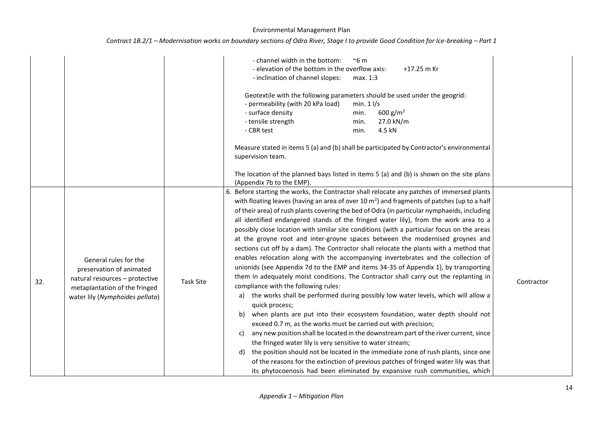| Contract 1B.2/1 – Modernisation works on boundary sections of Odra River, Stage I to provide Good Condition for Ice-breaking – Part 1 |  |  |  |
|---------------------------------------------------------------------------------------------------------------------------------------|--|--|--|
|---------------------------------------------------------------------------------------------------------------------------------------|--|--|--|

|     |                                                                                                                                                         |                  | - channel width in the bottom:<br>$~\sim$ 6 m<br>- elevation of the bottom in the overflow axis:<br>+17.25 m Kr<br>- inclination of channel slopes:<br>max. 1:3<br>Geotextile with the following parameters should be used under the geogrid:<br>- permeability (with 20 kPa load)<br>min. $1 \frac{1}{s}$<br>- surface density<br>600 g/m <sup>2</sup><br>min.<br>- tensile strength<br>27.0 kN/m<br>min.<br>- CBR test<br>4.5 kN<br>min.<br>Measure stated in items 5 (a) and (b) shall be participated by Contractor's environmental<br>supervision team.<br>The location of the planned bays listed in items 5 (a) and (b) is shown on the site plans<br>(Appendix 7b to the EMP).                                                                                                                                                                                                                                                                                                                                                                                                                                                                                                                                                                                                                                                                                                                                                                                                                                                                                                                                                                                       |            |
|-----|---------------------------------------------------------------------------------------------------------------------------------------------------------|------------------|------------------------------------------------------------------------------------------------------------------------------------------------------------------------------------------------------------------------------------------------------------------------------------------------------------------------------------------------------------------------------------------------------------------------------------------------------------------------------------------------------------------------------------------------------------------------------------------------------------------------------------------------------------------------------------------------------------------------------------------------------------------------------------------------------------------------------------------------------------------------------------------------------------------------------------------------------------------------------------------------------------------------------------------------------------------------------------------------------------------------------------------------------------------------------------------------------------------------------------------------------------------------------------------------------------------------------------------------------------------------------------------------------------------------------------------------------------------------------------------------------------------------------------------------------------------------------------------------------------------------------------------------------------------------------|------------|
| 32. | General rules for the<br>preservation of animated<br>natural resources - protective<br>metaplantation of the fringed<br>water lily (Nymphoides pellata) | <b>Task Site</b> | 6. Before starting the works, the Contractor shall relocate any patches of immersed plants<br>with floating leaves (having an area of over 10 $m2$ ) and fragments of patches (up to a half<br>of their area) of rush plants covering the bed of Odra (in particular nymphaeids, including<br>all identified endangered stands of the fringed water lily), from the work area to a<br>possibly close location with similar site conditions (with a particular focus on the areas<br>at the groyne root and inter-groyne spaces between the modernised groynes and<br>sections cut off by a dam). The Contractor shall relocate the plants with a method that<br>enables relocation along with the accompanying invertebrates and the collection of<br>unionids (see Appendix 7d to the EMP and items 34-35 of Appendix 1), by transporting<br>them in adequately moist conditions. The Contractor shall carry out the replanting in<br>compliance with the following rules:<br>the works shall be performed during possibly low water levels, which will allow a<br>a)<br>quick process;<br>when plants are put into their ecosystem foundation, water depth should not<br>b)<br>exceed 0.7 m, as the works must be carried out with precision;<br>any new position shall be located in the downstream part of the river current, since<br>c)<br>the fringed water lily is very sensitive to water stream;<br>the position should not be located in the immediate zone of rush plants, since one<br>d)<br>of the reasons for the extinction of previous patches of fringed water lily was that<br>its phytocoenosis had been eliminated by expansive rush communities, which | Contractor |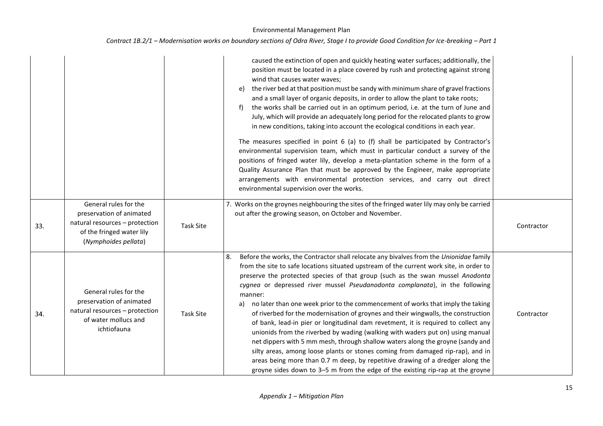|     |                                                                                                                                          |                  | caused the extinction of open and quickly heating water surfaces; additionally, the<br>position must be located in a place covered by rush and protecting against strong<br>wind that causes water waves;<br>the river bed at that position must be sandy with minimum share of gravel fractions<br>e)<br>and a small layer of organic deposits, in order to allow the plant to take roots;<br>the works shall be carried out in an optimum period, i.e. at the turn of June and<br>f)<br>July, which will provide an adequately long period for the relocated plants to grow<br>in new conditions, taking into account the ecological conditions in each year.<br>The measures specified in point 6 (a) to (f) shall be participated by Contractor's<br>environmental supervision team, which must in particular conduct a survey of the<br>positions of fringed water lily, develop a meta-plantation scheme in the form of a<br>Quality Assurance Plan that must be approved by the Engineer, make appropriate<br>arrangements with environmental protection services, and carry out direct<br>environmental supervision over the works. |            |
|-----|------------------------------------------------------------------------------------------------------------------------------------------|------------------|---------------------------------------------------------------------------------------------------------------------------------------------------------------------------------------------------------------------------------------------------------------------------------------------------------------------------------------------------------------------------------------------------------------------------------------------------------------------------------------------------------------------------------------------------------------------------------------------------------------------------------------------------------------------------------------------------------------------------------------------------------------------------------------------------------------------------------------------------------------------------------------------------------------------------------------------------------------------------------------------------------------------------------------------------------------------------------------------------------------------------------------------|------------|
| 33. | General rules for the<br>preservation of animated<br>natural resources - protection<br>of the fringed water lily<br>(Nymphoides pellata) | <b>Task Site</b> | 7. Works on the groynes neighbouring the sites of the fringed water lily may only be carried<br>out after the growing season, on October and November.                                                                                                                                                                                                                                                                                                                                                                                                                                                                                                                                                                                                                                                                                                                                                                                                                                                                                                                                                                                      | Contractor |
| 34. | General rules for the<br>preservation of animated<br>natural resources - protection<br>of water mollucs and<br>ichtiofauna               | <b>Task Site</b> | Before the works, the Contractor shall relocate any bivalves from the Unionidae family<br>8.<br>from the site to safe locations situated upstream of the current work site, in order to<br>preserve the protected species of that group (such as the swan mussel Anodonta<br>cygnea or depressed river mussel Pseudanodonta complanata), in the following<br>manner:<br>no later than one week prior to the commencement of works that imply the taking<br>a)<br>of riverbed for the modernisation of groynes and their wingwalls, the construction<br>of bank, lead-in pier or longitudinal dam revetment, it is required to collect any<br>unionids from the riverbed by wading (walking with waders put on) using manual<br>net dippers with 5 mm mesh, through shallow waters along the groyne (sandy and<br>silty areas, among loose plants or stones coming from damaged rip-rap), and in<br>areas being more than 0.7 m deep, by repetitive drawing of a dredger along the<br>groyne sides down to 3-5 m from the edge of the existing rip-rap at the groyne                                                                         | Contractor |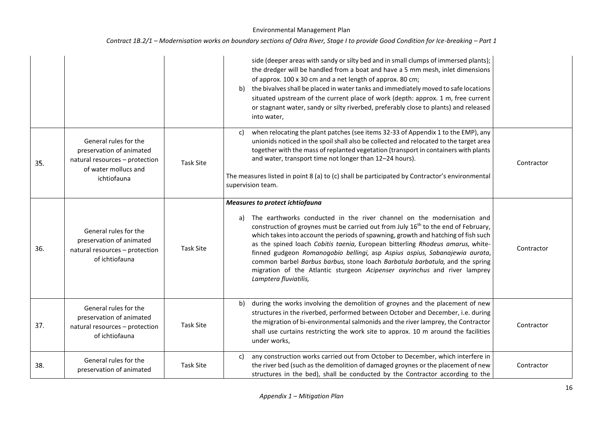|     |                                                                                                                            |                  | side (deeper areas with sandy or silty bed and in small clumps of immersed plants);<br>the dredger will be handled from a boat and have a 5 mm mesh, inlet dimensions<br>of approx. 100 x 30 cm and a net length of approx. 80 cm;<br>the bivalves shall be placed in water tanks and immediately moved to safe locations<br>b)<br>situated upstream of the current place of work (depth: approx. 1 m, free current<br>or stagnant water, sandy or silty riverbed, preferably close to plants) and released<br>into water,                                                                                                                                            |            |
|-----|----------------------------------------------------------------------------------------------------------------------------|------------------|-----------------------------------------------------------------------------------------------------------------------------------------------------------------------------------------------------------------------------------------------------------------------------------------------------------------------------------------------------------------------------------------------------------------------------------------------------------------------------------------------------------------------------------------------------------------------------------------------------------------------------------------------------------------------|------------|
| 35. | General rules for the<br>preservation of animated<br>natural resources - protection<br>of water mollucs and<br>ichtiofauna | <b>Task Site</b> | when relocating the plant patches (see items 32-33 of Appendix 1 to the EMP), any<br>c)<br>unionids noticed in the spoil shall also be collected and relocated to the target area<br>together with the mass of replanted vegetation (transport in containers with plants<br>and water, transport time not longer than 12-24 hours).<br>The measures listed in point 8 (a) to (c) shall be participated by Contractor's environmental<br>supervision team.                                                                                                                                                                                                             | Contractor |
| 36. | General rules for the<br>preservation of animated<br>natural resources - protection<br>of ichtiofauna                      | <b>Task Site</b> | <b>Measures to protect ichtiofauna</b><br>The earthworks conducted in the river channel on the modernisation and<br>a)<br>construction of groynes must be carried out from July 16 <sup>th</sup> to the end of February,<br>which takes into account the periods of spawning, growth and hatching of fish such<br>as the spined loach Cobitis taenia, European bitterling Rhodeus amarus, white-<br>finned gudgeon Romanogobio bellingi, asp Aspius aspius, Sabanajewia aurata,<br>common barbel Barbus barbus, stone loach Barbatula barbatula, and the spring<br>migration of the Atlantic sturgeon Acipenser oxyrinchus and river lamprey<br>Lamptera fluviatilis, | Contractor |
| 37. | General rules for the<br>preservation of animated<br>natural resources - protection<br>of ichtiofauna                      | <b>Task Site</b> | during the works involving the demolition of groynes and the placement of new<br>b)<br>structures in the riverbed, performed between October and December, i.e. during<br>the migration of bi-environmental salmonids and the river lamprey, the Contractor<br>shall use curtains restricting the work site to approx. 10 m around the facilities<br>under works,                                                                                                                                                                                                                                                                                                     | Contractor |
| 38. | General rules for the<br>preservation of animated                                                                          | <b>Task Site</b> | any construction works carried out from October to December, which interfere in<br>c)<br>the river bed (such as the demolition of damaged groynes or the placement of new<br>structures in the bed), shall be conducted by the Contractor according to the                                                                                                                                                                                                                                                                                                                                                                                                            | Contractor |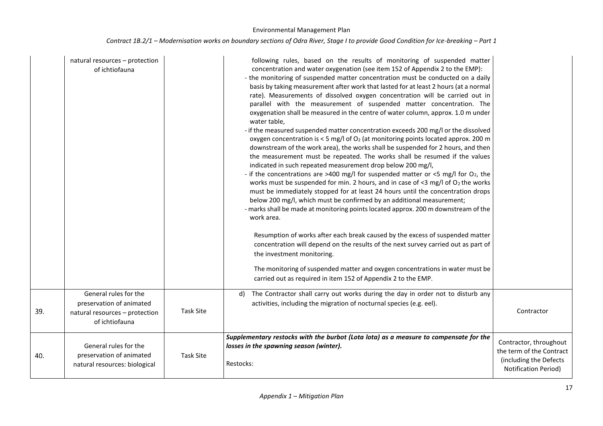|     | natural resources - protection<br>of ichtiofauna                                                      |                  | following rules, based on the results of monitoring of suspended matter<br>concentration and water oxygenation (see item 152 of Appendix 2 to the EMP):<br>- the monitoring of suspended matter concentration must be conducted on a daily<br>basis by taking measurement after work that lasted for at least 2 hours (at a normal<br>rate). Measurements of dissolved oxygen concentration will be carried out in<br>parallel with the measurement of suspended matter concentration. The<br>oxygenation shall be measured in the centre of water column, approx. 1.0 m under<br>water table,<br>- if the measured suspended matter concentration exceeds 200 mg/l or the dissolved<br>oxygen concentration is $<$ 5 mg/l of O <sub>2</sub> (at monitoring points located approx. 200 m<br>downstream of the work area), the works shall be suspended for 2 hours, and then<br>the measurement must be repeated. The works shall be resumed if the values<br>indicated in such repeated measurement drop below 200 mg/l,<br>- if the concentrations are >400 mg/l for suspended matter or <5 mg/l for $O_2$ , the<br>works must be suspended for min. 2 hours, and in case of <3 mg/l of $O_2$ the works<br>must be immediately stopped for at least 24 hours until the concentration drops<br>below 200 mg/l, which must be confirmed by an additional measurement;<br>- marks shall be made at monitoring points located approx. 200 m downstream of the<br>work area.<br>Resumption of works after each break caused by the excess of suspended matter<br>concentration will depend on the results of the next survey carried out as part of<br>the investment monitoring.<br>The monitoring of suspended matter and oxygen concentrations in water must be<br>carried out as required in item 152 of Appendix 2 to the EMP. |                                                                                                             |
|-----|-------------------------------------------------------------------------------------------------------|------------------|----------------------------------------------------------------------------------------------------------------------------------------------------------------------------------------------------------------------------------------------------------------------------------------------------------------------------------------------------------------------------------------------------------------------------------------------------------------------------------------------------------------------------------------------------------------------------------------------------------------------------------------------------------------------------------------------------------------------------------------------------------------------------------------------------------------------------------------------------------------------------------------------------------------------------------------------------------------------------------------------------------------------------------------------------------------------------------------------------------------------------------------------------------------------------------------------------------------------------------------------------------------------------------------------------------------------------------------------------------------------------------------------------------------------------------------------------------------------------------------------------------------------------------------------------------------------------------------------------------------------------------------------------------------------------------------------------------------------------------------------------------------------------------------------------------------------------------|-------------------------------------------------------------------------------------------------------------|
| 39. | General rules for the<br>preservation of animated<br>natural resources - protection<br>of ichtiofauna | <b>Task Site</b> | The Contractor shall carry out works during the day in order not to disturb any<br>d)<br>activities, including the migration of nocturnal species (e.g. eel).                                                                                                                                                                                                                                                                                                                                                                                                                                                                                                                                                                                                                                                                                                                                                                                                                                                                                                                                                                                                                                                                                                                                                                                                                                                                                                                                                                                                                                                                                                                                                                                                                                                                    | Contractor                                                                                                  |
| 40. | General rules for the<br>preservation of animated<br>natural resources: biological                    | <b>Task Site</b> | Supplementary restocks with the burbot (Lota lota) as a measure to compensate for the<br>losses in the spawning season (winter).<br>Restocks:                                                                                                                                                                                                                                                                                                                                                                                                                                                                                                                                                                                                                                                                                                                                                                                                                                                                                                                                                                                                                                                                                                                                                                                                                                                                                                                                                                                                                                                                                                                                                                                                                                                                                    | Contractor, throughout<br>the term of the Contract<br>(including the Defects<br><b>Notification Period)</b> |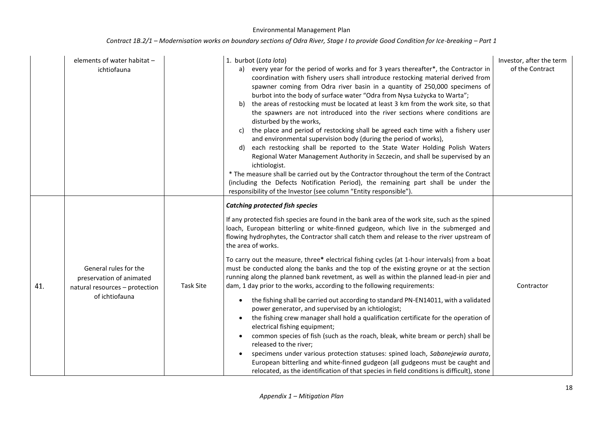|     | elements of water habitat -<br>ichtiofauna                                                            |                  | 1. burbot (Lota lota)<br>a) every year for the period of works and for 3 years thereafter*, the Contractor in<br>coordination with fishery users shall introduce restocking material derived from<br>spawner coming from Odra river basin in a quantity of 250,000 specimens of<br>burbot into the body of surface water "Odra from Nysa Łużycka to Warta";<br>the areas of restocking must be located at least 3 km from the work site, so that<br>b)<br>the spawners are not introduced into the river sections where conditions are<br>disturbed by the works,<br>the place and period of restocking shall be agreed each time with a fishery user<br>C)<br>and environmental supervision body (during the period of works),<br>each restocking shall be reported to the State Water Holding Polish Waters<br>d)<br>Regional Water Management Authority in Szczecin, and shall be supervised by an<br>ichtiologist.<br>* The measure shall be carried out by the Contractor throughout the term of the Contract<br>(including the Defects Notification Period), the remaining part shall be under the<br>responsibility of the Investor (see column "Entity responsible").                                                                                                                                                                                                                                               | Investor, after the term<br>of the Contract |
|-----|-------------------------------------------------------------------------------------------------------|------------------|-----------------------------------------------------------------------------------------------------------------------------------------------------------------------------------------------------------------------------------------------------------------------------------------------------------------------------------------------------------------------------------------------------------------------------------------------------------------------------------------------------------------------------------------------------------------------------------------------------------------------------------------------------------------------------------------------------------------------------------------------------------------------------------------------------------------------------------------------------------------------------------------------------------------------------------------------------------------------------------------------------------------------------------------------------------------------------------------------------------------------------------------------------------------------------------------------------------------------------------------------------------------------------------------------------------------------------------------------------------------------------------------------------------------------------|---------------------------------------------|
| 41. | General rules for the<br>preservation of animated<br>natural resources - protection<br>of ichtiofauna | <b>Task Site</b> | <b>Catching protected fish species</b><br>If any protected fish species are found in the bank area of the work site, such as the spined<br>loach, European bitterling or white-finned gudgeon, which live in the submerged and<br>flowing hydrophytes, the Contractor shall catch them and release to the river upstream of<br>the area of works.<br>To carry out the measure, three* electrical fishing cycles (at 1-hour intervals) from a boat<br>must be conducted along the banks and the top of the existing groyne or at the section<br>running along the planned bank revetment, as well as within the planned lead-in pier and<br>dam, 1 day prior to the works, according to the following requirements:<br>the fishing shall be carried out according to standard PN-EN14011, with a validated<br>$\bullet$<br>power generator, and supervised by an ichtiologist;<br>the fishing crew manager shall hold a qualification certificate for the operation of<br>$\bullet$<br>electrical fishing equipment;<br>common species of fish (such as the roach, bleak, white bream or perch) shall be<br>$\bullet$<br>released to the river;<br>specimens under various protection statuses: spined loach, Sabanejewia aurata,<br>$\bullet$<br>European bitterling and white-finned gudgeon (all gudgeons must be caught and<br>relocated, as the identification of that species in field conditions is difficult), stone | Contractor                                  |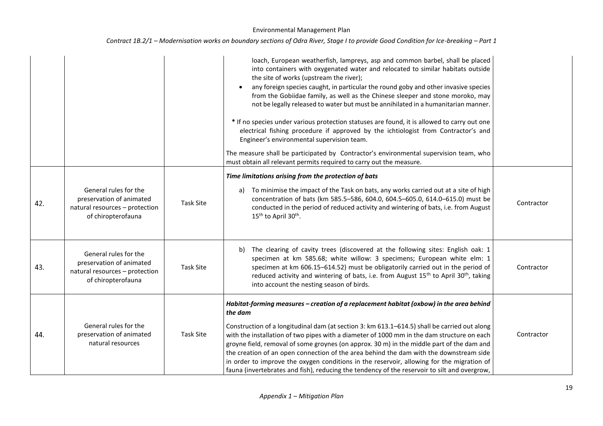|     |                                                                                                           |                  | loach, European weatherfish, lampreys, asp and common barbel, shall be placed<br>into containers with oxygenated water and relocated to similar habitats outside<br>the site of works (upstream the river);<br>any foreign species caught, in particular the round goby and other invasive species<br>from the Gobiidae family, as well as the Chinese sleeper and stone moroko, may<br>not be legally released to water but must be annihilated in a humanitarian manner.<br>* If no species under various protection statuses are found, it is allowed to carry out one<br>electrical fishing procedure if approved by the ichtiologist from Contractor's and<br>Engineer's environmental supervision team.<br>The measure shall be participated by Contractor's environmental supervision team, who<br>must obtain all relevant permits required to carry out the measure. |            |
|-----|-----------------------------------------------------------------------------------------------------------|------------------|-------------------------------------------------------------------------------------------------------------------------------------------------------------------------------------------------------------------------------------------------------------------------------------------------------------------------------------------------------------------------------------------------------------------------------------------------------------------------------------------------------------------------------------------------------------------------------------------------------------------------------------------------------------------------------------------------------------------------------------------------------------------------------------------------------------------------------------------------------------------------------|------------|
| 42. | General rules for the<br>preservation of animated<br>natural resources - protection<br>of chiropterofauna | <b>Task Site</b> | Time limitations arising from the protection of bats<br>To minimise the impact of the Task on bats, any works carried out at a site of high<br>a)<br>concentration of bats (km 585.5-586, 604.0, 604.5-605.0, 614.0-615.0) must be<br>conducted in the period of reduced activity and wintering of bats, i.e. from August<br>15 <sup>th</sup> to April 30 <sup>th</sup> .                                                                                                                                                                                                                                                                                                                                                                                                                                                                                                     | Contractor |
| 43. | General rules for the<br>preservation of animated<br>natural resources - protection<br>of chiropterofauna | <b>Task Site</b> | The clearing of cavity trees (discovered at the following sites: English oak: 1<br>b)<br>specimen at km 585.68; white willow: 3 specimens; European white elm: 1<br>specimen at km 606.15-614.52) must be obligatorily carried out in the period of<br>reduced activity and wintering of bats, i.e. from August 15 <sup>th</sup> to April 30 <sup>th</sup> , taking<br>into account the nesting season of birds.                                                                                                                                                                                                                                                                                                                                                                                                                                                              | Contractor |
| 44. | General rules for the<br>preservation of animated<br>natural resources                                    | <b>Task Site</b> | Habitat-forming measures - creation of a replacement habitat (oxbow) in the area behind<br>the dam<br>Construction of a longitudinal dam (at section 3: km 613.1-614.5) shall be carried out along<br>with the installation of two pipes with a diameter of 1000 mm in the dam structure on each<br>groyne field, removal of some groynes (on approx. 30 m) in the middle part of the dam and<br>the creation of an open connection of the area behind the dam with the downstream side<br>in order to improve the oxygen conditions in the reservoir, allowing for the migration of<br>fauna (invertebrates and fish), reducing the tendency of the reservoir to silt and overgrow,                                                                                                                                                                                          | Contractor |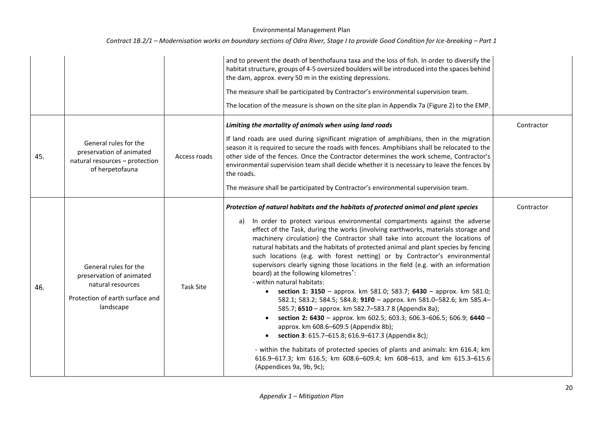|     |                                                                                                                        |                  | and to prevent the death of benthofauna taxa and the loss of fish. In order to diversify the<br>habitat structure, groups of 4-5 oversized boulders will be introduced into the spaces behind<br>the dam, approx. every 50 m in the existing depressions.<br>The measure shall be participated by Contractor's environmental supervision team.<br>The location of the measure is shown on the site plan in Appendix 7a (Figure 2) to the EMP.                                                                                                                                                                                                                                                                                                                                                                                                                                                                                                                                                                                                                                                                                                                                                                                                                                                               |            |
|-----|------------------------------------------------------------------------------------------------------------------------|------------------|-------------------------------------------------------------------------------------------------------------------------------------------------------------------------------------------------------------------------------------------------------------------------------------------------------------------------------------------------------------------------------------------------------------------------------------------------------------------------------------------------------------------------------------------------------------------------------------------------------------------------------------------------------------------------------------------------------------------------------------------------------------------------------------------------------------------------------------------------------------------------------------------------------------------------------------------------------------------------------------------------------------------------------------------------------------------------------------------------------------------------------------------------------------------------------------------------------------------------------------------------------------------------------------------------------------|------------|
| 45. | General rules for the<br>preservation of animated<br>natural resources - protection<br>of herpetofauna                 | Access roads     | Limiting the mortality of animals when using land roads<br>If land roads are used during significant migration of amphibians, then in the migration<br>season it is required to secure the roads with fences. Amphibians shall be relocated to the<br>other side of the fences. Once the Contractor determines the work scheme, Contractor's<br>environmental supervision team shall decide whether it is necessary to leave the fences by<br>the roads.<br>The measure shall be participated by Contractor's environmental supervision team.                                                                                                                                                                                                                                                                                                                                                                                                                                                                                                                                                                                                                                                                                                                                                               | Contractor |
| 46. | General rules for the<br>preservation of animated<br>natural resources<br>Protection of earth surface and<br>landscape | <b>Task Site</b> | Protection of natural habitats and the habitats of protected animal and plant species<br>In order to protect various environmental compartments against the adverse<br>a)<br>effect of the Task, during the works (involving earthworks, materials storage and<br>machinery circulation) the Contractor shall take into account the locations of<br>natural habitats and the habitats of protected animal and plant species by fencing<br>such locations (e.g. with forest netting) or by Contractor's environmental<br>supervisors clearly signing those locations in the field (e.g. with an information<br>board) at the following kilometres <sup>*</sup> :<br>- within natural habitats:<br>section 1: 3150 - approx. km 581.0; 583.7; 6430 - approx. km 581.0;<br>$\bullet$<br>582.1; 583.2; 584.5; 584.8; 91F0 - approx. km 581.0-582.6; km 585.4-<br>585.7; 6510 - approx. km 582.7-583.7 8 (Appendix 8a);<br>section 2: 6430 - approx. km 602.5; 603.3; 606.3-606.5; 606.9; 6440 -<br>$\bullet$<br>approx. km 608.6-609.5 (Appendix 8b);<br>section 3: 615.7-615.8; 616.9-617.3 (Appendix 8c);<br>$\bullet$<br>- within the habitats of protected species of plants and animals: km 616.4; km<br>616.9-617.3; km 616.5; km 608.6-609.4; km 608-613, and km 615.3-615.6<br>(Appendices 9a, 9b, 9c); | Contractor |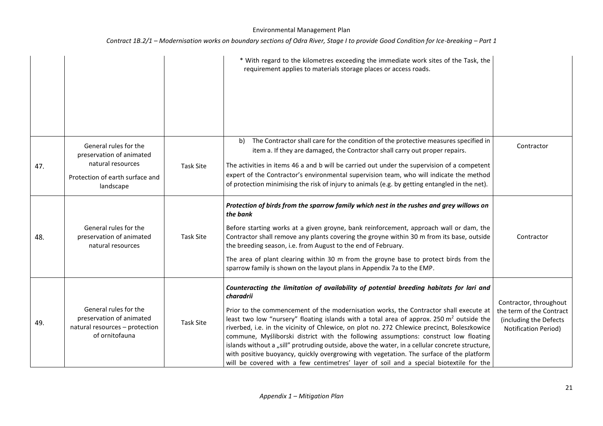|     |                                                                                                                        |                  | * With regard to the kilometres exceeding the immediate work sites of the Task, the<br>requirement applies to materials storage places or access roads.                                                                                                                                                                                                                                                                                                                                                                                                                                                                                                                                                                                                                                |                                                                                                             |
|-----|------------------------------------------------------------------------------------------------------------------------|------------------|----------------------------------------------------------------------------------------------------------------------------------------------------------------------------------------------------------------------------------------------------------------------------------------------------------------------------------------------------------------------------------------------------------------------------------------------------------------------------------------------------------------------------------------------------------------------------------------------------------------------------------------------------------------------------------------------------------------------------------------------------------------------------------------|-------------------------------------------------------------------------------------------------------------|
| 47. | General rules for the<br>preservation of animated<br>natural resources<br>Protection of earth surface and<br>landscape | <b>Task Site</b> | The Contractor shall care for the condition of the protective measures specified in<br>b)<br>item a. If they are damaged, the Contractor shall carry out proper repairs.<br>The activities in items 46 a and b will be carried out under the supervision of a competent<br>expert of the Contractor's environmental supervision team, who will indicate the method<br>of protection minimising the risk of injury to animals (e.g. by getting entangled in the net).                                                                                                                                                                                                                                                                                                                   | Contractor                                                                                                  |
| 48. | General rules for the<br>preservation of animated<br>natural resources                                                 | <b>Task Site</b> | Protection of birds from the sparrow family which nest in the rushes and grey willows on<br>the bank<br>Before starting works at a given groyne, bank reinforcement, approach wall or dam, the<br>Contractor shall remove any plants covering the groyne within 30 m from its base, outside<br>the breeding season, i.e. from August to the end of February.<br>The area of plant clearing within 30 m from the groyne base to protect birds from the<br>sparrow family is shown on the layout plans in Appendix 7a to the EMP.                                                                                                                                                                                                                                                        | Contractor                                                                                                  |
| 49. | General rules for the<br>preservation of animated<br>natural resources - protection<br>of ornitofauna                  | <b>Task Site</b> | Counteracting the limitation of availability of potential breeding habitats for lari and<br>charadrii<br>Prior to the commencement of the modernisation works, the Contractor shall execute at<br>least two low "nursery" floating islands with a total area of approx. 250 m <sup>2</sup> outside the<br>riverbed, i.e. in the vicinity of Chlewice, on plot no. 272 Chlewice precinct, Boleszkowice<br>commune, Myśliborski district with the following assumptions: construct low floating<br>islands without a "sill" protruding outside, above the water, in a cellular concrete structure,<br>with positive buoyancy, quickly overgrowing with vegetation. The surface of the platform<br>will be covered with a few centimetres' layer of soil and a special biotextile for the | Contractor, throughout<br>the term of the Contract<br>(including the Defects<br><b>Notification Period)</b> |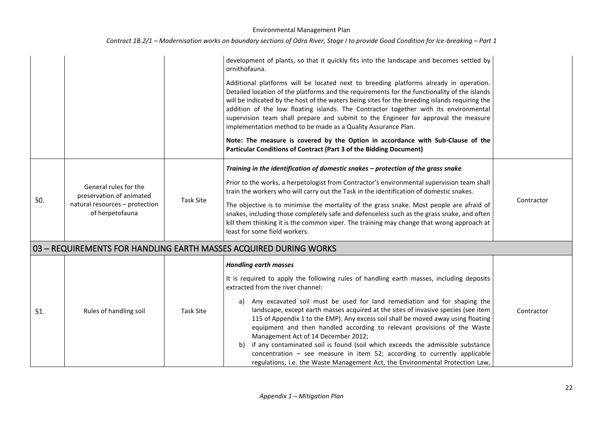|     |                                                                                                        |                  | development of plants, so that it quickly fits into the landscape and becomes settled by<br>ornithofauna.<br>Additional platforms will be located next to breeding platforms already in operation.<br>Detailed location of the platforms and the requirements for the functionality of the islands<br>will be indicated by the host of the waters being sites for the breeding islands requiring the<br>addition of the low floating islands. The Contractor together with its environmental<br>supervision team shall prepare and submit to the Engineer for approval the measure<br>implementation method to be made as a Quality Assurance Plan.<br>Note: The measure is covered by the Option in accordance with Sub-Clause of the<br>Particular Conditions of Contract (Part 3 of the Bidding Document) |            |
|-----|--------------------------------------------------------------------------------------------------------|------------------|--------------------------------------------------------------------------------------------------------------------------------------------------------------------------------------------------------------------------------------------------------------------------------------------------------------------------------------------------------------------------------------------------------------------------------------------------------------------------------------------------------------------------------------------------------------------------------------------------------------------------------------------------------------------------------------------------------------------------------------------------------------------------------------------------------------|------------|
| 50. | General rules for the<br>preservation of animated<br>natural resources - protection<br>of herpetofauna | Task Site        | Training in the identification of domestic snakes - protection of the grass snake<br>Prior to the works, a herpetologist from Contractor's environmental supervision team shall<br>train the workers who will carry out the Task in the identification of domestic snakes.<br>The objective is to minimise the mortality of the grass snake. Most people are afraid of<br>snakes, including those completely safe and defenceless such as the grass snake, and often<br>kill them thinking it is the common viper. The training may change that wrong approach at<br>least for some field workers.                                                                                                                                                                                                           | Contractor |
|     |                                                                                                        |                  | 03 - REQUIREMENTS FOR HANDLING EARTH MASSES ACQUIRED DURING WORKS                                                                                                                                                                                                                                                                                                                                                                                                                                                                                                                                                                                                                                                                                                                                            |            |
| 51. | Rules of handling soil                                                                                 | <b>Task Site</b> | <b>Handling earth masses</b><br>It is required to apply the following rules of handling earth masses, including deposits<br>extracted from the river channel:<br>Any excavated soil must be used for land remediation and for shaping the<br>a)<br>landscape, except earth masses acquired at the sites of invasive species (see item<br>115 of Appendix 1 to the EMP). Any excess soil shall be moved away using floating<br>equipment and then handled according to relevant provisions of the Waste<br>Management Act of 14 December 2012;<br>if any contaminated soil is found (soil which exceeds the admissible substance<br>b)<br>concentration $-$ see measure in item 52; according to currently applicable<br>regulations, i.e. the Waste Management Act, the Environmental Protection Law,        | Contractor |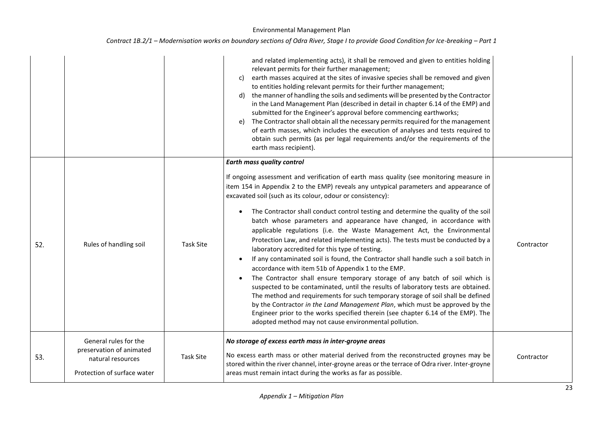|  |  | Contract 1B.2/1 – Modernisation works on boundary sections of Odra River, Stage I to provide Good Condition for Ice-breaking – Part 1 |
|--|--|---------------------------------------------------------------------------------------------------------------------------------------|
|--|--|---------------------------------------------------------------------------------------------------------------------------------------|

|     |                                                                                                       |                  | and related implementing acts), it shall be removed and given to entities holding<br>relevant permits for their further management;<br>earth masses acquired at the sites of invasive species shall be removed and given<br>C)<br>to entities holding relevant permits for their further management;<br>the manner of handling the soils and sediments will be presented by the Contractor<br>d)<br>in the Land Management Plan (described in detail in chapter 6.14 of the EMP) and<br>submitted for the Engineer's approval before commencing earthworks;<br>The Contractor shall obtain all the necessary permits required for the management<br>e)<br>of earth masses, which includes the execution of analyses and tests required to<br>obtain such permits (as per legal requirements and/or the requirements of the<br>earth mass recipient).                                                                                                                                                                                                                                                                                                                                                                                                                                                    |            |
|-----|-------------------------------------------------------------------------------------------------------|------------------|---------------------------------------------------------------------------------------------------------------------------------------------------------------------------------------------------------------------------------------------------------------------------------------------------------------------------------------------------------------------------------------------------------------------------------------------------------------------------------------------------------------------------------------------------------------------------------------------------------------------------------------------------------------------------------------------------------------------------------------------------------------------------------------------------------------------------------------------------------------------------------------------------------------------------------------------------------------------------------------------------------------------------------------------------------------------------------------------------------------------------------------------------------------------------------------------------------------------------------------------------------------------------------------------------------|------------|
| 52. | Rules of handling soil                                                                                | <b>Task Site</b> | <b>Earth mass quality control</b><br>If ongoing assessment and verification of earth mass quality (see monitoring measure in<br>item 154 in Appendix 2 to the EMP) reveals any untypical parameters and appearance of<br>excavated soil (such as its colour, odour or consistency):<br>The Contractor shall conduct control testing and determine the quality of the soil<br>batch whose parameters and appearance have changed, in accordance with<br>applicable regulations (i.e. the Waste Management Act, the Environmental<br>Protection Law, and related implementing acts). The tests must be conducted by a<br>laboratory accredited for this type of testing.<br>If any contaminated soil is found, the Contractor shall handle such a soil batch in<br>accordance with item 51b of Appendix 1 to the EMP.<br>The Contractor shall ensure temporary storage of any batch of soil which is<br>suspected to be contaminated, until the results of laboratory tests are obtained.<br>The method and requirements for such temporary storage of soil shall be defined<br>by the Contractor in the Land Management Plan, which must be approved by the<br>Engineer prior to the works specified therein (see chapter 6.14 of the EMP). The<br>adopted method may not cause environmental pollution. | Contractor |
| 53. | General rules for the<br>preservation of animated<br>natural resources<br>Protection of surface water | <b>Task Site</b> | No storage of excess earth mass in inter-groyne areas<br>No excess earth mass or other material derived from the reconstructed groynes may be<br>stored within the river channel, inter-groyne areas or the terrace of Odra river. Inter-groyne<br>areas must remain intact during the works as far as possible.                                                                                                                                                                                                                                                                                                                                                                                                                                                                                                                                                                                                                                                                                                                                                                                                                                                                                                                                                                                        | Contractor |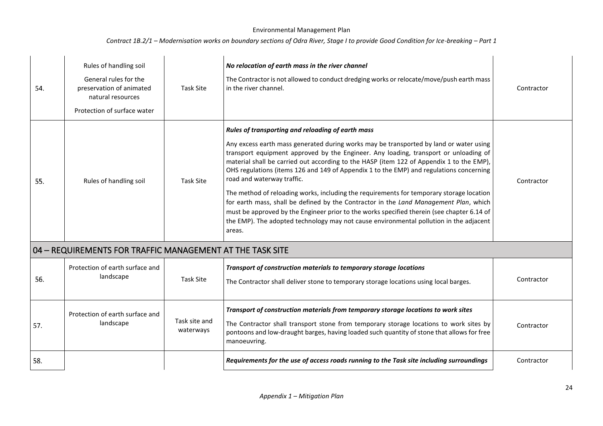| 54. | Rules of handling soil<br>General rules for the<br>preservation of animated<br>natural resources<br>Protection of surface water | <b>Task Site</b>           | No relocation of earth mass in the river channel<br>The Contractor is not allowed to conduct dredging works or relocate/move/push earth mass<br>in the river channel.                                                                                                                                                                                                                                                                                                                                                                                                                                                                                                                                                                                                                                                                           | Contractor |
|-----|---------------------------------------------------------------------------------------------------------------------------------|----------------------------|-------------------------------------------------------------------------------------------------------------------------------------------------------------------------------------------------------------------------------------------------------------------------------------------------------------------------------------------------------------------------------------------------------------------------------------------------------------------------------------------------------------------------------------------------------------------------------------------------------------------------------------------------------------------------------------------------------------------------------------------------------------------------------------------------------------------------------------------------|------------|
| 55. | Rules of handling soil                                                                                                          | <b>Task Site</b>           | Rules of transporting and reloading of earth mass<br>Any excess earth mass generated during works may be transported by land or water using<br>transport equipment approved by the Engineer. Any loading, transport or unloading of<br>material shall be carried out according to the HASP (item 122 of Appendix 1 to the EMP),<br>OHS regulations (items 126 and 149 of Appendix 1 to the EMP) and regulations concerning<br>road and waterway traffic.<br>The method of reloading works, including the requirements for temporary storage location<br>for earth mass, shall be defined by the Contractor in the Land Management Plan, which<br>must be approved by the Engineer prior to the works specified therein (see chapter 6.14 of<br>the EMP). The adopted technology may not cause environmental pollution in the adjacent<br>areas. | Contractor |
|     | 04 - REQUIREMENTS FOR TRAFFIC MANAGEMENT AT THE TASK SITE                                                                       |                            |                                                                                                                                                                                                                                                                                                                                                                                                                                                                                                                                                                                                                                                                                                                                                                                                                                                 |            |
| 56. | Protection of earth surface and<br>landscape                                                                                    | Task Site                  | Transport of construction materials to temporary storage locations<br>The Contractor shall deliver stone to temporary storage locations using local barges.                                                                                                                                                                                                                                                                                                                                                                                                                                                                                                                                                                                                                                                                                     | Contractor |
| 57. | Protection of earth surface and<br>landscape                                                                                    | Task site and<br>waterways | Transport of construction materials from temporary storage locations to work sites<br>The Contractor shall transport stone from temporary storage locations to work sites by<br>pontoons and low-draught barges, having loaded such quantity of stone that allows for free<br>manoeuvring.                                                                                                                                                                                                                                                                                                                                                                                                                                                                                                                                                      | Contractor |
| 58. |                                                                                                                                 |                            | Requirements for the use of access roads running to the Task site including surroundings                                                                                                                                                                                                                                                                                                                                                                                                                                                                                                                                                                                                                                                                                                                                                        | Contractor |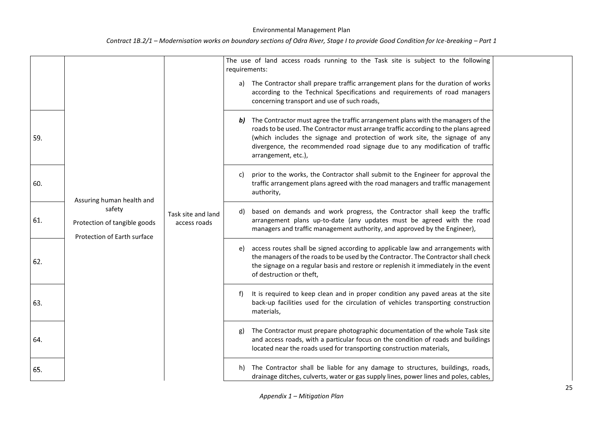|     |                                                                       |                                    | The use of land access roads running to the Task site is subject to the following<br>requirements:<br>The Contractor shall prepare traffic arrangement plans for the duration of works<br>a)<br>according to the Technical Specifications and requirements of road managers<br>concerning transport and use of such roads,<br>The Contractor must agree the traffic arrangement plans with the managers of the<br>b) |
|-----|-----------------------------------------------------------------------|------------------------------------|----------------------------------------------------------------------------------------------------------------------------------------------------------------------------------------------------------------------------------------------------------------------------------------------------------------------------------------------------------------------------------------------------------------------|
| 59. |                                                                       |                                    | roads to be used. The Contractor must arrange traffic according to the plans agreed<br>(which includes the signage and protection of work site, the signage of any<br>divergence, the recommended road signage due to any modification of traffic<br>arrangement, etc.),                                                                                                                                             |
| 60. | Assuring human health and                                             |                                    | prior to the works, the Contractor shall submit to the Engineer for approval the<br>C)<br>traffic arrangement plans agreed with the road managers and traffic management<br>authority,                                                                                                                                                                                                                               |
| 61. | safety<br>Protection of tangible goods<br>Protection of Earth surface | Task site and land<br>access roads | based on demands and work progress, the Contractor shall keep the traffic<br>d)<br>arrangement plans up-to-date (any updates must be agreed with the road<br>managers and traffic management authority, and approved by the Engineer),                                                                                                                                                                               |
| 62. |                                                                       |                                    | access routes shall be signed according to applicable law and arrangements with<br>e)<br>the managers of the roads to be used by the Contractor. The Contractor shall check<br>the signage on a regular basis and restore or replenish it immediately in the event<br>of destruction or theft,                                                                                                                       |
| 63. |                                                                       |                                    | It is required to keep clean and in proper condition any paved areas at the site<br>f)<br>back-up facilities used for the circulation of vehicles transporting construction<br>materials,                                                                                                                                                                                                                            |
| 64. |                                                                       |                                    | The Contractor must prepare photographic documentation of the whole Task site<br>g)<br>and access roads, with a particular focus on the condition of roads and buildings<br>located near the roads used for transporting construction materials,                                                                                                                                                                     |
| 65. |                                                                       |                                    | The Contractor shall be liable for any damage to structures, buildings, roads,<br>h)<br>drainage ditches, culverts, water or gas supply lines, power lines and poles, cables,                                                                                                                                                                                                                                        |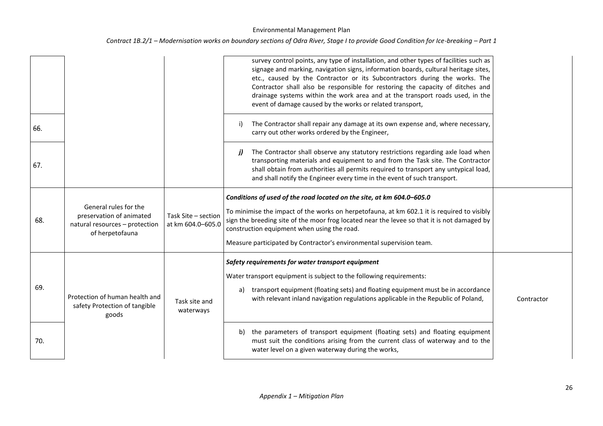|     |                                                                                                        |                                          | survey control points, any type of installation, and other types of facilities such as<br>signage and marking, navigation signs, information boards, cultural heritage sites,<br>etc., caused by the Contractor or its Subcontractors during the works. The<br>Contractor shall also be responsible for restoring the capacity of ditches and<br>drainage systems within the work area and at the transport roads used, in the<br>event of damage caused by the works or related transport, |            |
|-----|--------------------------------------------------------------------------------------------------------|------------------------------------------|---------------------------------------------------------------------------------------------------------------------------------------------------------------------------------------------------------------------------------------------------------------------------------------------------------------------------------------------------------------------------------------------------------------------------------------------------------------------------------------------|------------|
| 66. |                                                                                                        |                                          | The Contractor shall repair any damage at its own expense and, where necessary,<br>i)<br>carry out other works ordered by the Engineer,                                                                                                                                                                                                                                                                                                                                                     |            |
| 67. |                                                                                                        |                                          | The Contractor shall observe any statutory restrictions regarding axle load when<br>j)<br>transporting materials and equipment to and from the Task site. The Contractor<br>shall obtain from authorities all permits required to transport any untypical load,<br>and shall notify the Engineer every time in the event of such transport.                                                                                                                                                 |            |
| 68. | General rules for the<br>preservation of animated<br>natural resources - protection<br>of herpetofauna | Task Site - section<br>at km 604.0-605.0 | Conditions of used of the road located on the site, at km 604.0-605.0<br>To minimise the impact of the works on herpetofauna, at km 602.1 it is required to visibly<br>sign the breeding site of the moor frog located near the levee so that it is not damaged by<br>construction equipment when using the road.<br>Measure participated by Contractor's environmental supervision team.                                                                                                   |            |
| 69. | Protection of human health and<br>safety Protection of tangible<br>goods                               | Task site and<br>waterways               | Safety requirements for water transport equipment<br>Water transport equipment is subject to the following requirements:<br>a) transport equipment (floating sets) and floating equipment must be in accordance<br>with relevant inland navigation regulations applicable in the Republic of Poland,                                                                                                                                                                                        | Contractor |
| 70. |                                                                                                        |                                          | b) the parameters of transport equipment (floating sets) and floating equipment<br>must suit the conditions arising from the current class of waterway and to the<br>water level on a given waterway during the works,                                                                                                                                                                                                                                                                      |            |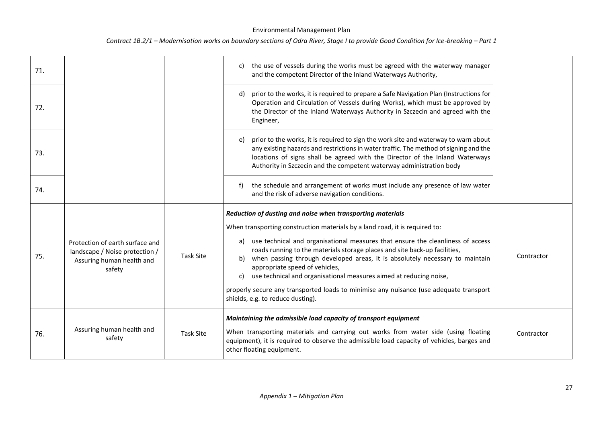| 71. |                                                                                                          |                  | the use of vessels during the works must be agreed with the waterway manager<br>C)<br>and the competent Director of the Inland Waterways Authority,                                                                                                                                                                                                                  |            |
|-----|----------------------------------------------------------------------------------------------------------|------------------|----------------------------------------------------------------------------------------------------------------------------------------------------------------------------------------------------------------------------------------------------------------------------------------------------------------------------------------------------------------------|------------|
| 72. |                                                                                                          |                  | prior to the works, it is required to prepare a Safe Navigation Plan (Instructions for<br>d)<br>Operation and Circulation of Vessels during Works), which must be approved by<br>the Director of the Inland Waterways Authority in Szczecin and agreed with the<br>Engineer,                                                                                         |            |
| 73. |                                                                                                          |                  | e) prior to the works, it is required to sign the work site and waterway to warn about<br>any existing hazards and restrictions in water traffic. The method of signing and the<br>locations of signs shall be agreed with the Director of the Inland Waterways<br>Authority in Szczecin and the competent waterway administration body                              |            |
| 74. |                                                                                                          |                  | the schedule and arrangement of works must include any presence of law water<br>f<br>and the risk of adverse navigation conditions.                                                                                                                                                                                                                                  |            |
|     |                                                                                                          |                  | Reduction of dusting and noise when transporting materials                                                                                                                                                                                                                                                                                                           |            |
|     |                                                                                                          |                  | When transporting construction materials by a land road, it is required to:                                                                                                                                                                                                                                                                                          |            |
| 75. | Protection of earth surface and<br>landscape / Noise protection /<br>Assuring human health and<br>safety | <b>Task Site</b> | a) use technical and organisational measures that ensure the cleanliness of access<br>roads running to the materials storage places and site back-up facilities,<br>when passing through developed areas, it is absolutely necessary to maintain<br>b)<br>appropriate speed of vehicles,<br>use technical and organisational measures aimed at reducing noise,<br>c) | Contractor |
|     |                                                                                                          |                  | properly secure any transported loads to minimise any nuisance (use adequate transport<br>shields, e.g. to reduce dusting).                                                                                                                                                                                                                                          |            |
|     |                                                                                                          |                  | Maintaining the admissible load capacity of transport equipment                                                                                                                                                                                                                                                                                                      |            |
| 76. | Assuring human health and                                                                                | <b>Task Site</b> | When transporting materials and carrying out works from water side (using floating                                                                                                                                                                                                                                                                                   | Contractor |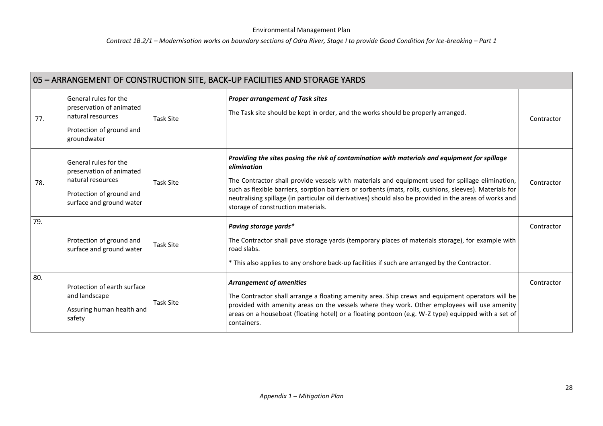| 05 - ARRANGEMENT OF CONSTRUCTION SITE, BACK-UP FACILITIES AND STORAGE YARDS |                                                                                                                                |                  |                                                                                                                                                                                                                                                                                                                                                                                                                                                                                |            |  |
|-----------------------------------------------------------------------------|--------------------------------------------------------------------------------------------------------------------------------|------------------|--------------------------------------------------------------------------------------------------------------------------------------------------------------------------------------------------------------------------------------------------------------------------------------------------------------------------------------------------------------------------------------------------------------------------------------------------------------------------------|------------|--|
| 77.                                                                         | General rules for the<br>preservation of animated<br>natural resources<br>Protection of ground and<br>groundwater              | <b>Task Site</b> | <b>Proper arrangement of Task sites</b><br>The Task site should be kept in order, and the works should be properly arranged.                                                                                                                                                                                                                                                                                                                                                   | Contractor |  |
| 78.                                                                         | General rules for the<br>preservation of animated<br>natural resources<br>Protection of ground and<br>surface and ground water | <b>Task Site</b> | Providing the sites posing the risk of contamination with materials and equipment for spillage<br>elimination<br>The Contractor shall provide vessels with materials and equipment used for spillage elimination,<br>such as flexible barriers, sorption barriers or sorbents (mats, rolls, cushions, sleeves). Materials for<br>neutralising spillage (in particular oil derivatives) should also be provided in the areas of works and<br>storage of construction materials. | Contractor |  |
| 79.                                                                         | Protection of ground and<br>surface and ground water                                                                           | <b>Task Site</b> | Paving storage yards*<br>The Contractor shall pave storage yards (temporary places of materials storage), for example with<br>road slabs.<br>* This also applies to any onshore back-up facilities if such are arranged by the Contractor.                                                                                                                                                                                                                                     | Contractor |  |
| 80.                                                                         | Protection of earth surface<br>and landscape<br>Assuring human health and<br>safety                                            | <b>Task Site</b> | <b>Arrangement of amenities</b><br>The Contractor shall arrange a floating amenity area. Ship crews and equipment operators will be<br>provided with amenity areas on the vessels where they work. Other employees will use amenity<br>areas on a houseboat (floating hotel) or a floating pontoon (e.g. W-Z type) equipped with a set of<br>containers.                                                                                                                       | Contractor |  |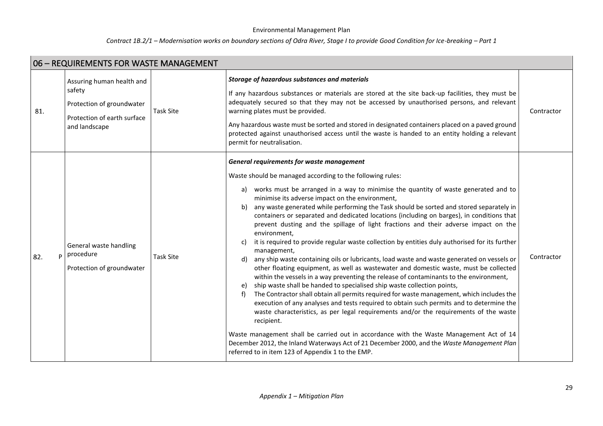| 06 - REQUIREMENTS FOR WASTE MANAGEMENT |                                                                                                                  |                  |                                                                                                                                                                                                                                                                                                                                                                                                                                                                                                                                                                                                                                                                                                                                                                                                                                                                                                                                                                                                                                                                                                                                                                                                                                                                                                                                                                                                                                                                                                                                                                                                               |            |
|----------------------------------------|------------------------------------------------------------------------------------------------------------------|------------------|---------------------------------------------------------------------------------------------------------------------------------------------------------------------------------------------------------------------------------------------------------------------------------------------------------------------------------------------------------------------------------------------------------------------------------------------------------------------------------------------------------------------------------------------------------------------------------------------------------------------------------------------------------------------------------------------------------------------------------------------------------------------------------------------------------------------------------------------------------------------------------------------------------------------------------------------------------------------------------------------------------------------------------------------------------------------------------------------------------------------------------------------------------------------------------------------------------------------------------------------------------------------------------------------------------------------------------------------------------------------------------------------------------------------------------------------------------------------------------------------------------------------------------------------------------------------------------------------------------------|------------|
| 81.                                    | Assuring human health and<br>safety<br>Protection of groundwater<br>Protection of earth surface<br>and landscape | <b>Task Site</b> | Storage of hazardous substances and materials<br>If any hazardous substances or materials are stored at the site back-up facilities, they must be<br>adequately secured so that they may not be accessed by unauthorised persons, and relevant<br>warning plates must be provided.<br>Any hazardous waste must be sorted and stored in designated containers placed on a paved ground<br>protected against unauthorised access until the waste is handed to an entity holding a relevant<br>permit for neutralisation.                                                                                                                                                                                                                                                                                                                                                                                                                                                                                                                                                                                                                                                                                                                                                                                                                                                                                                                                                                                                                                                                                        | Contractor |
| 82.                                    | General waste handling<br>$p$   procedure<br>Protection of groundwater                                           | <b>Task Site</b> | General requirements for waste management<br>Waste should be managed according to the following rules:<br>works must be arranged in a way to minimise the quantity of waste generated and to<br>a)<br>minimise its adverse impact on the environment,<br>any waste generated while performing the Task should be sorted and stored separately in<br>b)<br>containers or separated and dedicated locations (including on barges), in conditions that<br>prevent dusting and the spillage of light fractions and their adverse impact on the<br>environment,<br>it is required to provide regular waste collection by entities duly authorised for its further<br>c)<br>management,<br>any ship waste containing oils or lubricants, load waste and waste generated on vessels or<br>d)<br>other floating equipment, as well as wastewater and domestic waste, must be collected<br>within the vessels in a way preventing the release of contaminants to the environment,<br>ship waste shall be handed to specialised ship waste collection points,<br>e)<br>The Contractor shall obtain all permits required for waste management, which includes the<br>f)<br>execution of any analyses and tests required to obtain such permits and to determine the<br>waste characteristics, as per legal requirements and/or the requirements of the waste<br>recipient.<br>Waste management shall be carried out in accordance with the Waste Management Act of 14<br>December 2012, the Inland Waterways Act of 21 December 2000, and the Waste Management Plan<br>referred to in item 123 of Appendix 1 to the EMP. | Contractor |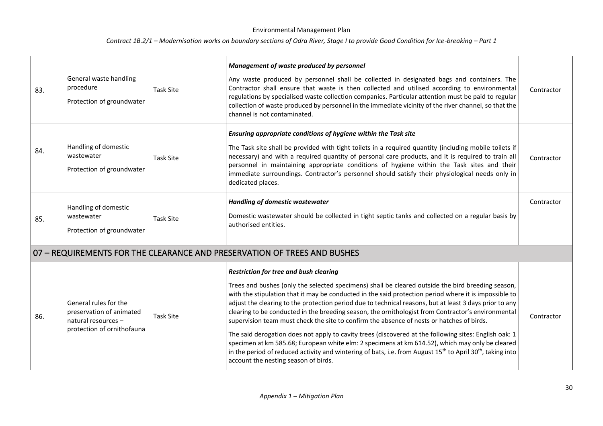| 83. | General waste handling<br>procedure<br>Protection of groundwater                                       | <b>Task Site</b> | Management of waste produced by personnel<br>Any waste produced by personnel shall be collected in designated bags and containers. The<br>Contractor shall ensure that waste is then collected and utilised according to environmental<br>regulations by specialised waste collection companies. Particular attention must be paid to regular<br>collection of waste produced by personnel in the immediate vicinity of the river channel, so that the<br>channel is not contaminated.                                                                                                                                                                                                                                                                                                                                                                                                                                                                    | Contractor |
|-----|--------------------------------------------------------------------------------------------------------|------------------|-----------------------------------------------------------------------------------------------------------------------------------------------------------------------------------------------------------------------------------------------------------------------------------------------------------------------------------------------------------------------------------------------------------------------------------------------------------------------------------------------------------------------------------------------------------------------------------------------------------------------------------------------------------------------------------------------------------------------------------------------------------------------------------------------------------------------------------------------------------------------------------------------------------------------------------------------------------|------------|
| 84. | Handling of domestic<br>wastewater<br>Protection of groundwater                                        | <b>Task Site</b> | Ensuring appropriate conditions of hygiene within the Task site<br>The Task site shall be provided with tight toilets in a required quantity (including mobile toilets if<br>necessary) and with a required quantity of personal care products, and it is required to train all<br>personnel in maintaining appropriate conditions of hygiene within the Task sites and their<br>immediate surroundings. Contractor's personnel should satisfy their physiological needs only in<br>dedicated places.                                                                                                                                                                                                                                                                                                                                                                                                                                                     | Contractor |
| 85. | Handling of domestic<br>wastewater<br>Protection of groundwater                                        | <b>Task Site</b> | <b>Handling of domestic wastewater</b><br>Domestic wastewater should be collected in tight septic tanks and collected on a regular basis by<br>authorised entities.                                                                                                                                                                                                                                                                                                                                                                                                                                                                                                                                                                                                                                                                                                                                                                                       | Contractor |
|     |                                                                                                        |                  | 07 - REQUIREMENTS FOR THE CLEARANCE AND PRESERVATION OF TREES AND BUSHES                                                                                                                                                                                                                                                                                                                                                                                                                                                                                                                                                                                                                                                                                                                                                                                                                                                                                  |            |
| 86. | General rules for the<br>preservation of animated<br>natural resources -<br>protection of ornithofauna | <b>Task Site</b> | <b>Restriction for tree and bush clearing</b><br>Trees and bushes (only the selected specimens) shall be cleared outside the bird breeding season,<br>with the stipulation that it may be conducted in the said protection period where it is impossible to<br>adjust the clearing to the protection period due to technical reasons, but at least 3 days prior to any<br>clearing to be conducted in the breeding season, the ornithologist from Contractor's environmental<br>supervision team must check the site to confirm the absence of nests or hatches of birds.<br>The said derogation does not apply to cavity trees (discovered at the following sites: English oak: 1<br>specimen at km 585.68; European white elm: 2 specimens at km 614.52), which may only be cleared<br>in the period of reduced activity and wintering of bats, i.e. from August $15th$ to April 30 <sup>th</sup> , taking into<br>account the nesting season of birds. | Contractor |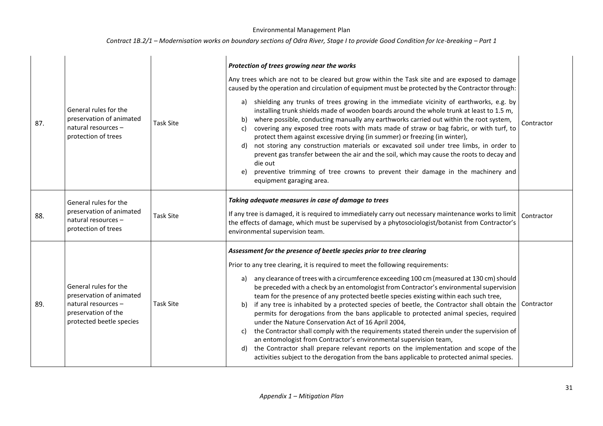| 87. | General rules for the<br>preservation of animated<br>natural resources -<br>protection of trees                             | <b>Task Site</b> | Protection of trees growing near the works<br>Any trees which are not to be cleared but grow within the Task site and are exposed to damage<br>caused by the operation and circulation of equipment must be protected by the Contractor through:<br>shielding any trunks of trees growing in the immediate vicinity of earthworks, e.g. by<br>a)<br>installing trunk shields made of wooden boards around the whole trunk at least to 1.5 m,<br>where possible, conducting manually any earthworks carried out within the root system,<br>b)<br>covering any exposed tree roots with mats made of straw or bag fabric, or with turf, to<br>C)<br>protect them against excessive drying (in summer) or freezing (in winter),<br>not storing any construction materials or excavated soil under tree limbs, in order to<br>d)<br>prevent gas transfer between the air and the soil, which may cause the roots to decay and<br>die out<br>preventive trimming of tree crowns to prevent their damage in the machinery and<br>e)<br>equipment garaging area.              | Contractor |
|-----|-----------------------------------------------------------------------------------------------------------------------------|------------------|-----------------------------------------------------------------------------------------------------------------------------------------------------------------------------------------------------------------------------------------------------------------------------------------------------------------------------------------------------------------------------------------------------------------------------------------------------------------------------------------------------------------------------------------------------------------------------------------------------------------------------------------------------------------------------------------------------------------------------------------------------------------------------------------------------------------------------------------------------------------------------------------------------------------------------------------------------------------------------------------------------------------------------------------------------------------------|------------|
| 88. | General rules for the<br>preservation of animated<br>natural resources -<br>protection of trees                             | <b>Task Site</b> | Taking adequate measures in case of damage to trees<br>If any tree is damaged, it is required to immediately carry out necessary maintenance works to limit<br>the effects of damage, which must be supervised by a phytosociologist/botanist from Contractor's<br>environmental supervision team.                                                                                                                                                                                                                                                                                                                                                                                                                                                                                                                                                                                                                                                                                                                                                                    | Contractor |
| 89. | General rules for the<br>preservation of animated<br>natural resources -<br>preservation of the<br>protected beetle species | <b>Task Site</b> | Assessment for the presence of beetle species prior to tree clearing<br>Prior to any tree clearing, it is required to meet the following requirements:<br>any clearance of trees with a circumference exceeding 100 cm (measured at 130 cm) should<br>a)<br>be preceded with a check by an entomologist from Contractor's environmental supervision<br>team for the presence of any protected beetle species existing within each such tree,<br>if any tree is inhabited by a protected species of beetle, the Contractor shall obtain the<br>b)<br>permits for derogations from the bans applicable to protected animal species, required<br>under the Nature Conservation Act of 16 April 2004,<br>the Contractor shall comply with the requirements stated therein under the supervision of<br>C)<br>an entomologist from Contractor's environmental supervision team,<br>the Contractor shall prepare relevant reports on the implementation and scope of the<br>d)<br>activities subject to the derogation from the bans applicable to protected animal species. | Contractor |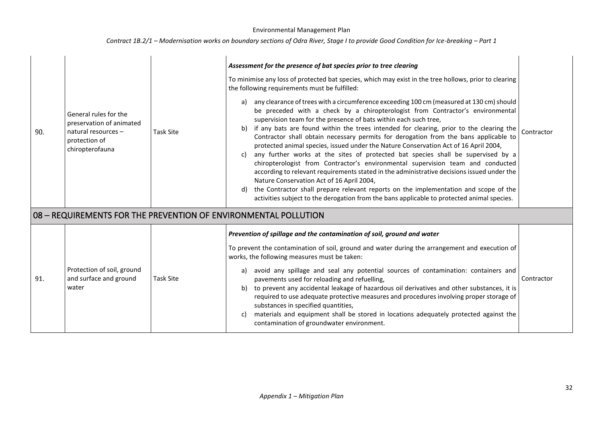| 90. | General rules for the<br>preservation of animated<br>natural resources -<br>protection of<br>chiropterofauna | <b>Task Site</b> | Assessment for the presence of bat species prior to tree clearing<br>To minimise any loss of protected bat species, which may exist in the tree hollows, prior to clearing<br>the following requirements must be fulfilled:<br>any clearance of trees with a circumference exceeding 100 cm (measured at 130 cm) should<br>a)<br>be preceded with a check by a chiropterologist from Contractor's environmental<br>supervision team for the presence of bats within each such tree,<br>if any bats are found within the trees intended for clearing, prior to the clearing the<br>b)<br>Contractor shall obtain necessary permits for derogation from the bans applicable to<br>protected animal species, issued under the Nature Conservation Act of 16 April 2004,<br>any further works at the sites of protected bat species shall be supervised by a<br>c)<br>chiropterologist from Contractor's environmental supervision team and conducted<br>according to relevant requirements stated in the administrative decisions issued under the<br>Nature Conservation Act of 16 April 2004,<br>the Contractor shall prepare relevant reports on the implementation and scope of the<br>d)<br>activities subject to the derogation from the bans applicable to protected animal species. | Contractor |
|-----|--------------------------------------------------------------------------------------------------------------|------------------|------------------------------------------------------------------------------------------------------------------------------------------------------------------------------------------------------------------------------------------------------------------------------------------------------------------------------------------------------------------------------------------------------------------------------------------------------------------------------------------------------------------------------------------------------------------------------------------------------------------------------------------------------------------------------------------------------------------------------------------------------------------------------------------------------------------------------------------------------------------------------------------------------------------------------------------------------------------------------------------------------------------------------------------------------------------------------------------------------------------------------------------------------------------------------------------------------------------------------------------------------------------------------------------|------------|
|     |                                                                                                              |                  | 08 - REQUIREMENTS FOR THE PREVENTION OF ENVIRONMENTAL POLLUTION                                                                                                                                                                                                                                                                                                                                                                                                                                                                                                                                                                                                                                                                                                                                                                                                                                                                                                                                                                                                                                                                                                                                                                                                                          |            |
| 91. | Protection of soil, ground<br>and surface and ground<br>water                                                | <b>Task Site</b> | Prevention of spillage and the contamination of soil, ground and water<br>To prevent the contamination of soil, ground and water during the arrangement and execution of<br>works, the following measures must be taken:<br>avoid any spillage and seal any potential sources of contamination: containers and<br>a)<br>pavements used for reloading and refuelling,<br>b) to prevent any accidental leakage of hazardous oil derivatives and other substances, it is<br>required to use adequate protective measures and procedures involving proper storage of<br>substances in specified quantities,<br>materials and equipment shall be stored in locations adequately protected against the<br>C)<br>contamination of groundwater environment.                                                                                                                                                                                                                                                                                                                                                                                                                                                                                                                                      | Contractor |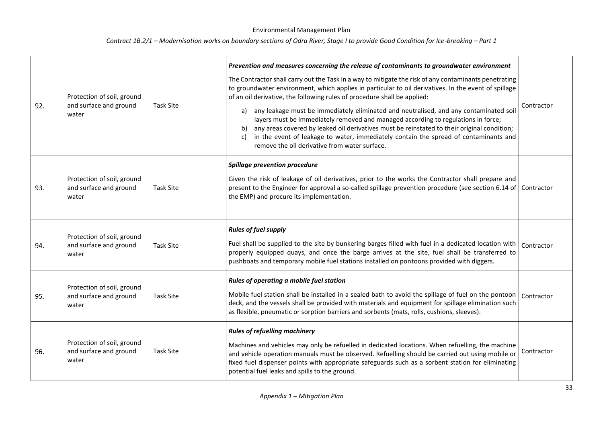| 92. | Protection of soil, ground<br>and surface and ground<br>water | <b>Task Site</b> | Prevention and measures concerning the release of contaminants to groundwater environment<br>The Contractor shall carry out the Task in a way to mitigate the risk of any contaminants penetrating<br>to groundwater environment, which applies in particular to oil derivatives. In the event of spillage<br>of an oil derivative, the following rules of procedure shall be applied:<br>a) any leakage must be immediately eliminated and neutralised, and any contaminated soi<br>layers must be immediately removed and managed according to regulations in force;<br>b) any areas covered by leaked oil derivatives must be reinstated to their original condition;<br>in the event of leakage to water, immediately contain the spread of contaminants and<br>c)<br>remove the oil derivative from water surface. | Contractor |
|-----|---------------------------------------------------------------|------------------|-------------------------------------------------------------------------------------------------------------------------------------------------------------------------------------------------------------------------------------------------------------------------------------------------------------------------------------------------------------------------------------------------------------------------------------------------------------------------------------------------------------------------------------------------------------------------------------------------------------------------------------------------------------------------------------------------------------------------------------------------------------------------------------------------------------------------|------------|
| 93. | Protection of soil, ground<br>and surface and ground<br>water | <b>Task Site</b> | <b>Spillage prevention procedure</b><br>Given the risk of leakage of oil derivatives, prior to the works the Contractor shall prepare and<br>present to the Engineer for approval a so-called spillage prevention procedure (see section 6.14 of<br>the EMP) and procure its implementation.                                                                                                                                                                                                                                                                                                                                                                                                                                                                                                                            | Contractor |
| 94. | Protection of soil, ground<br>and surface and ground<br>water | <b>Task Site</b> | <b>Rules of fuel supply</b><br>Fuel shall be supplied to the site by bunkering barges filled with fuel in a dedicated location with<br>properly equipped quays, and once the barge arrives at the site, fuel shall be transferred to<br>pushboats and temporary mobile fuel stations installed on pontoons provided with diggers.                                                                                                                                                                                                                                                                                                                                                                                                                                                                                       | Contractor |
| 95. | Protection of soil, ground<br>and surface and ground<br>water | <b>Task Site</b> | Rules of operating a mobile fuel station<br>Mobile fuel station shall be installed in a sealed bath to avoid the spillage of fuel on the pontoon<br>deck, and the vessels shall be provided with materials and equipment for spillage elimination such<br>as flexible, pneumatic or sorption barriers and sorbents (mats, rolls, cushions, sleeves).                                                                                                                                                                                                                                                                                                                                                                                                                                                                    | Contractor |
| 96. | Protection of soil, ground<br>and surface and ground<br>water | <b>Task Site</b> | <b>Rules of refuelling machinery</b><br>Machines and vehicles may only be refuelled in dedicated locations. When refuelling, the machine<br>and vehicle operation manuals must be observed. Refuelling should be carried out using mobile or<br>fixed fuel dispenser points with appropriate safeguards such as a sorbent station for eliminating<br>potential fuel leaks and spills to the ground.                                                                                                                                                                                                                                                                                                                                                                                                                     | Contractor |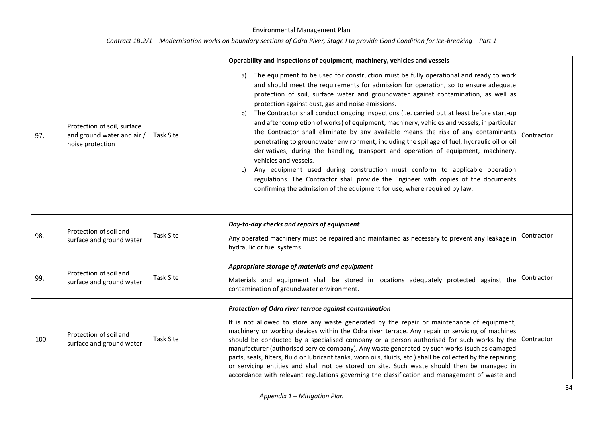|      |                                                                               |                  | Operability and inspections of equipment, machinery, vehicles and vessels                                                                                                                                                                                                                                                                                                                                                                                                                                                                                                                                                                                                                                                                                                                                                                                                                                                                                                                                                                                                                        |            |
|------|-------------------------------------------------------------------------------|------------------|--------------------------------------------------------------------------------------------------------------------------------------------------------------------------------------------------------------------------------------------------------------------------------------------------------------------------------------------------------------------------------------------------------------------------------------------------------------------------------------------------------------------------------------------------------------------------------------------------------------------------------------------------------------------------------------------------------------------------------------------------------------------------------------------------------------------------------------------------------------------------------------------------------------------------------------------------------------------------------------------------------------------------------------------------------------------------------------------------|------------|
| 97.  | Protection of soil, surface<br>and ground water and air /<br>noise protection | <b>Task Site</b> | The equipment to be used for construction must be fully operational and ready to work<br>a)<br>and should meet the requirements for admission for operation, so to ensure adequate<br>protection of soil, surface water and groundwater against contamination, as well as<br>protection against dust, gas and noise emissions.<br>The Contractor shall conduct ongoing inspections (i.e. carried out at least before start-up<br>b)<br>and after completion of works) of equipment, machinery, vehicles and vessels, in particular<br>the Contractor shall eliminate by any available means the risk of any contaminants<br>penetrating to groundwater environment, including the spillage of fuel, hydraulic oil or oil<br>derivatives, during the handling, transport and operation of equipment, machinery,<br>vehicles and vessels.<br>Any equipment used during construction must conform to applicable operation<br>C)<br>regulations. The Contractor shall provide the Engineer with copies of the documents<br>confirming the admission of the equipment for use, where required by law. | Contractor |
| 98.  | Protection of soil and<br>surface and ground water                            | <b>Task Site</b> | Day-to-day checks and repairs of equipment<br>Any operated machinery must be repaired and maintained as necessary to prevent any leakage in<br>hydraulic or fuel systems.                                                                                                                                                                                                                                                                                                                                                                                                                                                                                                                                                                                                                                                                                                                                                                                                                                                                                                                        | Contractor |
| 99.  | Protection of soil and<br>surface and ground water                            | <b>Task Site</b> | Appropriate storage of materials and equipment<br>Materials and equipment shall be stored in locations adequately protected against the<br>contamination of groundwater environment.                                                                                                                                                                                                                                                                                                                                                                                                                                                                                                                                                                                                                                                                                                                                                                                                                                                                                                             | Contractor |
| 100. | Protection of soil and<br>surface and ground water                            | <b>Task Site</b> | Protection of Odra river terrace against contamination<br>It is not allowed to store any waste generated by the repair or maintenance of equipment,<br>machinery or working devices within the Odra river terrace. Any repair or servicing of machines<br>should be conducted by a specialised company or a person authorised for such works by the<br>manufacturer (authorised service company). Any waste generated by such works (such as damaged<br>parts, seals, filters, fluid or lubricant tanks, worn oils, fluids, etc.) shall be collected by the repairing<br>or servicing entities and shall not be stored on site. Such waste should then be managed in<br>accordance with relevant regulations governing the classification and management of waste and                                                                                                                                                                                                                                                                                                                            | Contractor |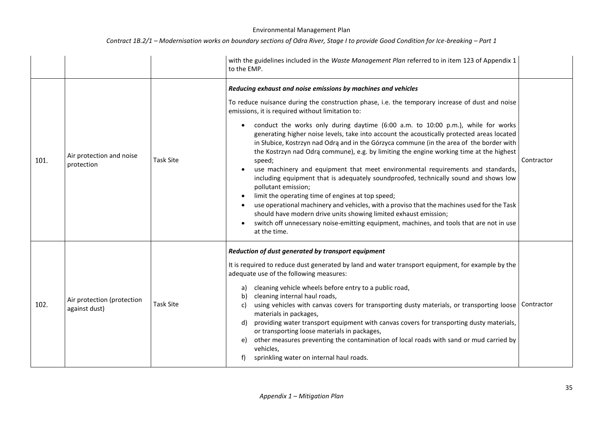|      |                                             |                  | with the guidelines included in the Waste Management Plan referred to in item 123 of Appendix 1<br>to the EMP.                                                                                                                                                                                                                                                                                                                                                                                                                                                                                                                                                                                                                                                                                                                                                                                                                                                                                                                                                                                                                               |            |
|------|---------------------------------------------|------------------|----------------------------------------------------------------------------------------------------------------------------------------------------------------------------------------------------------------------------------------------------------------------------------------------------------------------------------------------------------------------------------------------------------------------------------------------------------------------------------------------------------------------------------------------------------------------------------------------------------------------------------------------------------------------------------------------------------------------------------------------------------------------------------------------------------------------------------------------------------------------------------------------------------------------------------------------------------------------------------------------------------------------------------------------------------------------------------------------------------------------------------------------|------------|
| 101. | Air protection and noise<br>protection      | <b>Task Site</b> | Reducing exhaust and noise emissions by machines and vehicles<br>To reduce nuisance during the construction phase, i.e. the temporary increase of dust and noise<br>emissions, it is required without limitation to:<br>conduct the works only during daytime (6:00 a.m. to 10:00 p.m.), while for works<br>generating higher noise levels, take into account the acoustically protected areas located<br>in Słubice, Kostrzyn nad Odrą and in the Górzyca commune (in the area of the border with<br>the Kostrzyn nad Odrą commune), e.g. by limiting the engine working time at the highest<br>speed;<br>use machinery and equipment that meet environmental requirements and standards,<br>including equipment that is adequately soundproofed, technically sound and shows low<br>pollutant emission;<br>limit the operating time of engines at top speed;<br>use operational machinery and vehicles, with a proviso that the machines used for the Task<br>should have modern drive units showing limited exhaust emission;<br>switch off unnecessary noise-emitting equipment, machines, and tools that are not in use<br>at the time. | Contractor |
| 102. | Air protection (protection<br>against dust) | <b>Task Site</b> | Reduction of dust generated by transport equipment<br>It is required to reduce dust generated by land and water transport equipment, for example by the<br>adequate use of the following measures:<br>cleaning vehicle wheels before entry to a public road,<br>a)<br>cleaning internal haul roads,<br>b)<br>using vehicles with canvas covers for transporting dusty materials, or transporting loose<br>C)<br>materials in packages,<br>providing water transport equipment with canvas covers for transporting dusty materials,<br>d)<br>or transporting loose materials in packages,<br>other measures preventing the contamination of local roads with sand or mud carried by<br>e)<br>vehicles,<br>sprinkling water on internal haul roads.                                                                                                                                                                                                                                                                                                                                                                                            | Contractor |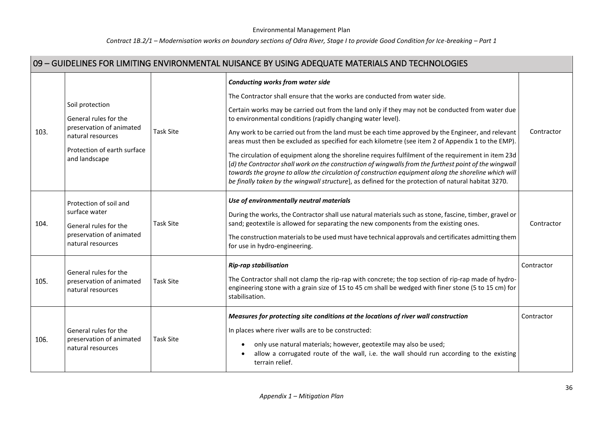## *Contract 1B.2/1 – Modernisation works on boundary sections of Odra River, Stage I to provide Good Condition for Ice-breaking – Part 1*

I.

|      | 09 - GUIDELINES FOR LIMITING ENVIRONMENTAL NUISANCE BY USING ADEQUATE MATERIALS AND TECHNOLOGIES                                          |                  |                                                                                                                                                                                                                                                                                                                                                                                                                                                                                                                                                                                                                                                                                                                                                                                                                                                                                                                                   |            |  |  |
|------|-------------------------------------------------------------------------------------------------------------------------------------------|------------------|-----------------------------------------------------------------------------------------------------------------------------------------------------------------------------------------------------------------------------------------------------------------------------------------------------------------------------------------------------------------------------------------------------------------------------------------------------------------------------------------------------------------------------------------------------------------------------------------------------------------------------------------------------------------------------------------------------------------------------------------------------------------------------------------------------------------------------------------------------------------------------------------------------------------------------------|------------|--|--|
| 103. | Soil protection<br>General rules for the<br>preservation of animated<br>natural resources<br>Protection of earth surface<br>and landscape | <b>Task Site</b> | <b>Conducting works from water side</b><br>The Contractor shall ensure that the works are conducted from water side.<br>Certain works may be carried out from the land only if they may not be conducted from water due<br>to environmental conditions (rapidly changing water level).<br>Any work to be carried out from the land must be each time approved by the Engineer, and relevant<br>areas must then be excluded as specified for each kilometre (see item 2 of Appendix 1 to the EMP).<br>The circulation of equipment along the shoreline requires fulfilment of the requirement in item 23d<br>[d] the Contractor shall work on the construction of wingwalls from the furthest point of the wingwall<br>towards the groyne to allow the circulation of construction equipment along the shoreline which will<br>be finally taken by the wingwall structure], as defined for the protection of natural habitat 3270. | Contractor |  |  |
| 104. | Protection of soil and<br>surface water<br>General rules for the<br>preservation of animated<br>natural resources                         | <b>Task Site</b> | Use of environmentally neutral materials<br>During the works, the Contractor shall use natural materials such as stone, fascine, timber, gravel or<br>sand; geotextile is allowed for separating the new components from the existing ones.<br>The construction materials to be used must have technical approvals and certificates admitting them<br>for use in hydro-engineering.                                                                                                                                                                                                                                                                                                                                                                                                                                                                                                                                               | Contractor |  |  |
| 105. | General rules for the<br>preservation of animated<br>natural resources                                                                    | <b>Task Site</b> | <b>Rip-rap stabilisation</b><br>The Contractor shall not clamp the rip-rap with concrete; the top section of rip-rap made of hydro-<br>engineering stone with a grain size of 15 to 45 cm shall be wedged with finer stone (5 to 15 cm) for<br>stabilisation.                                                                                                                                                                                                                                                                                                                                                                                                                                                                                                                                                                                                                                                                     | Contractor |  |  |
| 106. | General rules for the<br>preservation of animated<br>natural resources                                                                    | <b>Task Site</b> | Measures for protecting site conditions at the locations of river wall construction<br>In places where river walls are to be constructed:<br>only use natural materials; however, geotextile may also be used;<br>allow a corrugated route of the wall, i.e. the wall should run according to the existing<br>$\bullet$<br>terrain relief.                                                                                                                                                                                                                                                                                                                                                                                                                                                                                                                                                                                        | Contractor |  |  |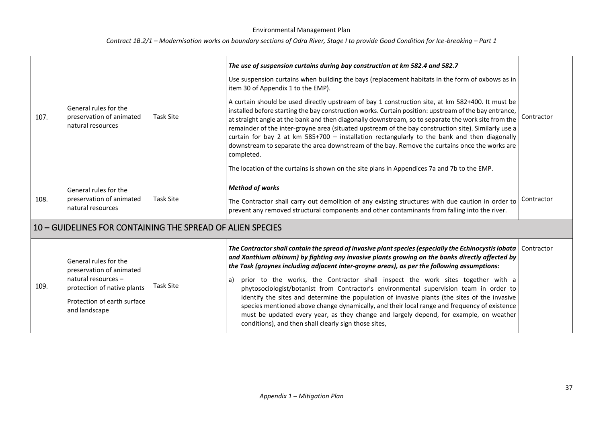| 107. | General rules for the<br>preservation of animated<br>natural resources                                                                                  | Task Site        | The use of suspension curtains during bay construction at km 582.4 and 582.7<br>Use suspension curtains when building the bays (replacement habitats in the form of oxbows as in<br>item 30 of Appendix 1 to the EMP).<br>A curtain should be used directly upstream of bay 1 construction site, at km 582+400. It must be<br>installed before starting the bay construction works. Curtain position: upstream of the bay entrance,<br>at straight angle at the bank and then diagonally downstream, so to separate the work site from the<br>remainder of the inter-groyne area (situated upstream of the bay construction site). Similarly use a<br>curtain for bay 2 at km 585+700 - installation rectangularly to the bank and then diagonally<br>downstream to separate the area downstream of the bay. Remove the curtains once the works are<br>completed.<br>The location of the curtains is shown on the site plans in Appendices 7a and 7b to the EMP. | Contractor |
|------|---------------------------------------------------------------------------------------------------------------------------------------------------------|------------------|------------------------------------------------------------------------------------------------------------------------------------------------------------------------------------------------------------------------------------------------------------------------------------------------------------------------------------------------------------------------------------------------------------------------------------------------------------------------------------------------------------------------------------------------------------------------------------------------------------------------------------------------------------------------------------------------------------------------------------------------------------------------------------------------------------------------------------------------------------------------------------------------------------------------------------------------------------------|------------|
| 108. | General rules for the<br>preservation of animated<br>natural resources                                                                                  | <b>Task Site</b> | <b>Method of works</b><br>The Contractor shall carry out demolition of any existing structures with due caution in order to<br>prevent any removed structural components and other contaminants from falling into the river.                                                                                                                                                                                                                                                                                                                                                                                                                                                                                                                                                                                                                                                                                                                                     | Contractor |
|      | 10 – GUIDELINES FOR CONTAINING THE SPREAD OF ALIEN SPECIES                                                                                              |                  |                                                                                                                                                                                                                                                                                                                                                                                                                                                                                                                                                                                                                                                                                                                                                                                                                                                                                                                                                                  |            |
| 109. | General rules for the<br>preservation of animated<br>natural resources -<br>protection of native plants<br>Protection of earth surface<br>and landscape | <b>Task Site</b> | The Contractor shall contain the spread of invasive plant species (especially the Echinocystis lobata<br>and Xanthium albinum) by fighting any invasive plants growing on the banks directly affected by<br>the Task (groynes including adjacent inter-groyne areas), as per the following assumptions:<br>prior to the works, the Contractor shall inspect the work sites together with a<br>a)<br>phytosociologist/botanist from Contractor's environmental supervision team in order to<br>identify the sites and determine the population of invasive plants (the sites of the invasive<br>species mentioned above change dynamically, and their local range and frequency of existence<br>must be updated every year, as they change and largely depend, for example, on weather<br>conditions), and then shall clearly sign those sites,                                                                                                                   | Contractor |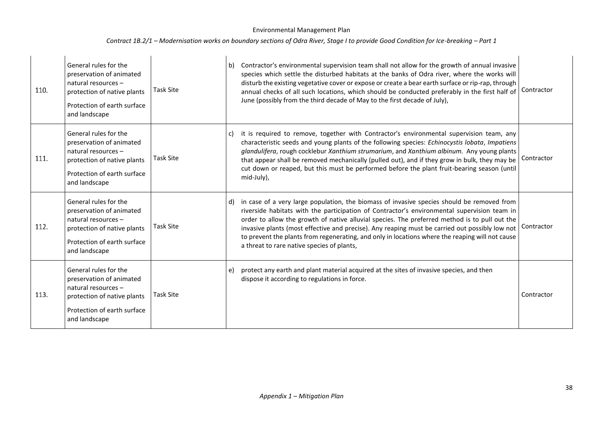| 110. | General rules for the<br>preservation of animated<br>natural resources -<br>protection of native plants<br>Protection of earth surface<br>and landscape | <b>Task Site</b> | b) | Contractor's environmental supervision team shall not allow for the growth of annual invasive<br>species which settle the disturbed habitats at the banks of Odra river, where the works will<br>disturb the existing vegetative cover or expose or create a bear earth surface or rip-rap, through<br>annual checks of all such locations, which should be conducted preferably in the first half of<br>June (possibly from the third decade of May to the first decade of July),                                                            | Contractor |
|------|---------------------------------------------------------------------------------------------------------------------------------------------------------|------------------|----|-----------------------------------------------------------------------------------------------------------------------------------------------------------------------------------------------------------------------------------------------------------------------------------------------------------------------------------------------------------------------------------------------------------------------------------------------------------------------------------------------------------------------------------------------|------------|
| 111. | General rules for the<br>preservation of animated<br>natural resources -<br>protection of native plants<br>Protection of earth surface<br>and landscape | <b>Task Site</b> | C) | it is required to remove, together with Contractor's environmental supervision team, any<br>characteristic seeds and young plants of the following species: Echinocystis lobata, Impatiens<br>glandulifera, rough cocklebur Xanthium strumarium, and Xanthium albinum. Any young plants<br>that appear shall be removed mechanically (pulled out), and if they grow in bulk, they may be<br>cut down or reaped, but this must be performed before the plant fruit-bearing season (until<br>mid-July),                                         | Contractor |
| 112. | General rules for the<br>preservation of animated<br>natural resources -<br>protection of native plants<br>Protection of earth surface<br>and landscape | <b>Task Site</b> | d) | in case of a very large population, the biomass of invasive species should be removed from<br>riverside habitats with the participation of Contractor's environmental supervision team in<br>order to allow the growth of native alluvial species. The preferred method is to pull out the<br>invasive plants (most effective and precise). Any reaping must be carried out possibly low not<br>to prevent the plants from regenerating, and only in locations where the reaping will not cause<br>a threat to rare native species of plants, | Contractor |
| 113. | General rules for the<br>preservation of animated<br>natural resources -<br>protection of native plants<br>Protection of earth surface<br>and landscape | <b>Task Site</b> | e) | protect any earth and plant material acquired at the sites of invasive species, and then<br>dispose it according to regulations in force.                                                                                                                                                                                                                                                                                                                                                                                                     | Contractor |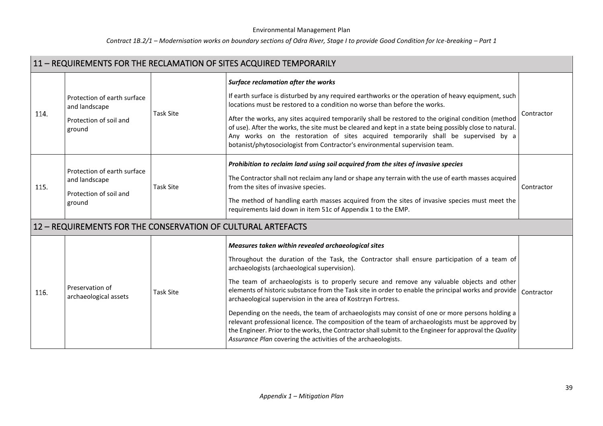|      | 11 - REQUIREMENTS FOR THE RECLAMATION OF SITES ACQUIRED TEMPORARILY              |                  |                                                                                                                                                                                                                                                                                                                                                                                                                                                                                                                                                                                                                                                                                                                                                                                                                                                            |            |  |  |
|------|----------------------------------------------------------------------------------|------------------|------------------------------------------------------------------------------------------------------------------------------------------------------------------------------------------------------------------------------------------------------------------------------------------------------------------------------------------------------------------------------------------------------------------------------------------------------------------------------------------------------------------------------------------------------------------------------------------------------------------------------------------------------------------------------------------------------------------------------------------------------------------------------------------------------------------------------------------------------------|------------|--|--|
| 114. | Protection of earth surface<br>and landscape<br>Protection of soil and<br>ground | <b>Task Site</b> | Surface reclamation after the works<br>If earth surface is disturbed by any required earthworks or the operation of heavy equipment, such<br>locations must be restored to a condition no worse than before the works.<br>After the works, any sites acquired temporarily shall be restored to the original condition (method<br>of use). After the works, the site must be cleared and kept in a state being possibly close to natural.<br>Any works on the restoration of sites acquired temporarily shall be supervised by a<br>botanist/phytosociologist from Contractor's environmental supervision team.                                                                                                                                                                                                                                             | Contractor |  |  |
| 115. | Protection of earth surface<br>and landscape<br>Protection of soil and<br>ground | <b>Task Site</b> | Prohibition to reclaim land using soil acquired from the sites of invasive species<br>The Contractor shall not reclaim any land or shape any terrain with the use of earth masses acquired<br>from the sites of invasive species.<br>The method of handling earth masses acquired from the sites of invasive species must meet the<br>requirements laid down in item 51c of Appendix 1 to the EMP.                                                                                                                                                                                                                                                                                                                                                                                                                                                         | Contractor |  |  |
|      | 12 - REQUIREMENTS FOR THE CONSERVATION OF CULTURAL ARTEFACTS                     |                  |                                                                                                                                                                                                                                                                                                                                                                                                                                                                                                                                                                                                                                                                                                                                                                                                                                                            |            |  |  |
| 116. | Preservation of<br>archaeological assets                                         | <b>Task Site</b> | Measures taken within revealed archaeological sites<br>Throughout the duration of the Task, the Contractor shall ensure participation of a team of<br>archaeologists (archaeological supervision).<br>The team of archaeologists is to properly secure and remove any valuable objects and other<br>elements of historic substance from the Task site in order to enable the principal works and provide<br>archaeological supervision in the area of Kostrzyn Fortress.<br>Depending on the needs, the team of archaeologists may consist of one or more persons holding a<br>relevant professional licence. The composition of the team of archaeologists must be approved by<br>the Engineer. Prior to the works, the Contractor shall submit to the Engineer for approval the Quality<br>Assurance Plan covering the activities of the archaeologists. | Contractor |  |  |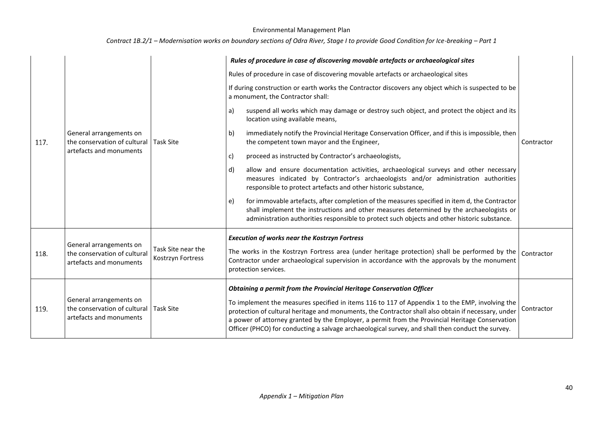|      |                                                                                    |                                         | Rules of procedure in case of discovering movable artefacts or archaeological sites                                                                                                                                                                                                                                                                                                                                                                                                    |            |
|------|------------------------------------------------------------------------------------|-----------------------------------------|----------------------------------------------------------------------------------------------------------------------------------------------------------------------------------------------------------------------------------------------------------------------------------------------------------------------------------------------------------------------------------------------------------------------------------------------------------------------------------------|------------|
|      |                                                                                    |                                         | Rules of procedure in case of discovering movable artefacts or archaeological sites                                                                                                                                                                                                                                                                                                                                                                                                    |            |
|      |                                                                                    |                                         | If during construction or earth works the Contractor discovers any object which is suspected to be<br>a monument, the Contractor shall:                                                                                                                                                                                                                                                                                                                                                |            |
|      |                                                                                    |                                         | suspend all works which may damage or destroy such object, and protect the object and its<br>a)<br>location using available means,                                                                                                                                                                                                                                                                                                                                                     |            |
| 117. | General arrangements on<br>the conservation of cultural                            | <b>Task Site</b>                        | b)<br>immediately notify the Provincial Heritage Conservation Officer, and if this is impossible, then<br>the competent town mayor and the Engineer,                                                                                                                                                                                                                                                                                                                                   | Contractor |
|      | artefacts and monuments                                                            |                                         | proceed as instructed by Contractor's archaeologists,<br>c)                                                                                                                                                                                                                                                                                                                                                                                                                            |            |
|      |                                                                                    |                                         | allow and ensure documentation activities, archaeological surveys and other necessary<br>d)<br>measures indicated by Contractor's archaeologists and/or administration authorities<br>responsible to protect artefacts and other historic substance,                                                                                                                                                                                                                                   |            |
|      |                                                                                    |                                         | for immovable artefacts, after completion of the measures specified in item d, the Contractor<br>e)<br>shall implement the instructions and other measures determined by the archaeologists or<br>administration authorities responsible to protect such objects and other historic substance.                                                                                                                                                                                         |            |
| 118. | General arrangements on<br>the conservation of cultural<br>artefacts and monuments | Task Site near the<br>Kostrzyn Fortress | <b>Execution of works near the Kostrzyn Fortress</b><br>The works in the Kostrzyn Fortress area (under heritage protection) shall be performed by the<br>Contractor under archaeological supervision in accordance with the approvals by the monument<br>protection services.                                                                                                                                                                                                          | Contractor |
| 119. | General arrangements on<br>the conservation of cultural<br>artefacts and monuments | <b>Task Site</b>                        | Obtaining a permit from the Provincial Heritage Conservation Officer<br>To implement the measures specified in items 116 to 117 of Appendix 1 to the EMP, involving the<br>protection of cultural heritage and monuments, the Contractor shall also obtain if necessary, under<br>a power of attorney granted by the Employer, a permit from the Provincial Heritage Conservation<br>Officer (PHCO) for conducting a salvage archaeological survey, and shall then conduct the survey. | Contractor |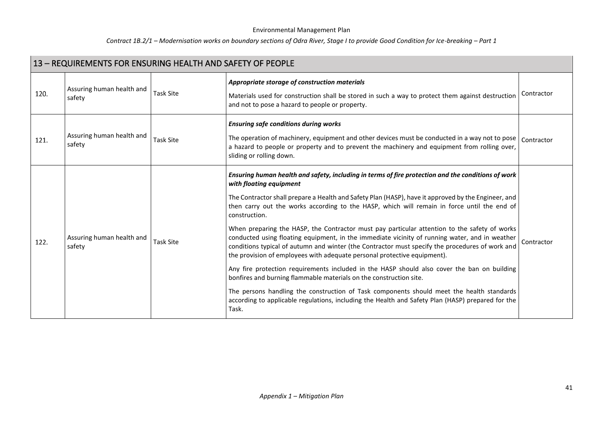| 13 - REQUIREMENTS FOR ENSURING HEALTH AND SAFETY OF PEOPLE |                                     |                  |                                                                                                                                                                                                                                                                                                                                                                                                                                                                                                                                                                                                                                                                                                                                                                                                                                                                                                                                                                                                                                                                                                                       |            |
|------------------------------------------------------------|-------------------------------------|------------------|-----------------------------------------------------------------------------------------------------------------------------------------------------------------------------------------------------------------------------------------------------------------------------------------------------------------------------------------------------------------------------------------------------------------------------------------------------------------------------------------------------------------------------------------------------------------------------------------------------------------------------------------------------------------------------------------------------------------------------------------------------------------------------------------------------------------------------------------------------------------------------------------------------------------------------------------------------------------------------------------------------------------------------------------------------------------------------------------------------------------------|------------|
| 120.                                                       | Assuring human health and<br>safety | <b>Task Site</b> | Appropriate storage of construction materials<br>Materials used for construction shall be stored in such a way to protect them against destruction<br>and not to pose a hazard to people or property.                                                                                                                                                                                                                                                                                                                                                                                                                                                                                                                                                                                                                                                                                                                                                                                                                                                                                                                 | Contractor |
| 121.                                                       | Assuring human health and<br>safety | <b>Task Site</b> | <b>Ensuring safe conditions during works</b><br>The operation of machinery, equipment and other devices must be conducted in a way not to pose<br>a hazard to people or property and to prevent the machinery and equipment from rolling over,<br>sliding or rolling down.                                                                                                                                                                                                                                                                                                                                                                                                                                                                                                                                                                                                                                                                                                                                                                                                                                            | Contractor |
| 122.                                                       | Assuring human health and<br>safety | <b>Task Site</b> | Ensuring human health and safety, including in terms of fire protection and the conditions of work<br>with floating equipment<br>The Contractor shall prepare a Health and Safety Plan (HASP), have it approved by the Engineer, and<br>then carry out the works according to the HASP, which will remain in force until the end of<br>construction.<br>When preparing the HASP, the Contractor must pay particular attention to the safety of works<br>conducted using floating equipment, in the immediate vicinity of running water, and in weather<br>conditions typical of autumn and winter (the Contractor must specify the procedures of work and<br>the provision of employees with adequate personal protective equipment).<br>Any fire protection requirements included in the HASP should also cover the ban on building<br>bonfires and burning flammable materials on the construction site.<br>The persons handling the construction of Task components should meet the health standards<br>according to applicable regulations, including the Health and Safety Plan (HASP) prepared for the<br>Task. | Contractor |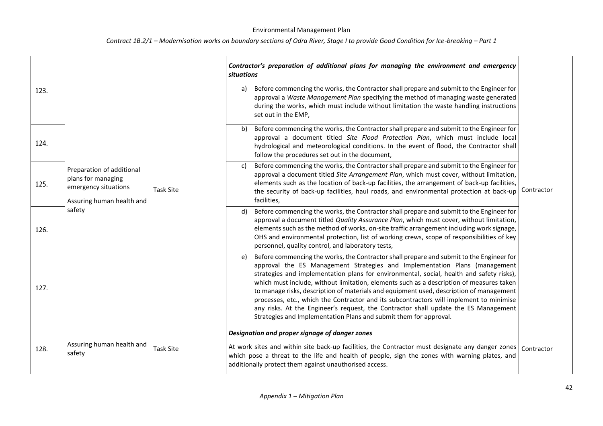| 123. |                                                                                                      | <b>Task Site</b> |                                                                                                                                                                                                                                                                                                                                                                                                                                                                                                                                                                                                                                                                                                                        | Contractor's preparation of additional plans for managing the environment and emergency<br><b>situations</b><br>Before commencing the works, the Contractor shall prepare and submit to the Engineer for<br>a)<br>approval a Waste Management Plan specifying the method of managing waste generated<br>during the works, which must include without limitation the waste handling instructions<br>set out in the EMP, |  |
|------|------------------------------------------------------------------------------------------------------|------------------|------------------------------------------------------------------------------------------------------------------------------------------------------------------------------------------------------------------------------------------------------------------------------------------------------------------------------------------------------------------------------------------------------------------------------------------------------------------------------------------------------------------------------------------------------------------------------------------------------------------------------------------------------------------------------------------------------------------------|------------------------------------------------------------------------------------------------------------------------------------------------------------------------------------------------------------------------------------------------------------------------------------------------------------------------------------------------------------------------------------------------------------------------|--|
| 124. |                                                                                                      |                  | Before commencing the works, the Contractor shall prepare and submit to the Engineer for<br>b)<br>approval a document titled Site Flood Protection Plan, which must include local<br>hydrological and meteorological conditions. In the event of flood, the Contractor shall<br>follow the procedures set out in the document,                                                                                                                                                                                                                                                                                                                                                                                         | Contractor                                                                                                                                                                                                                                                                                                                                                                                                             |  |
| 125. | Preparation of additional<br>plans for managing<br>emergency situations<br>Assuring human health and |                  | Before commencing the works, the Contractor shall prepare and submit to the Engineer for<br>c)<br>approval a document titled Site Arrangement Plan, which must cover, without limitation,<br>elements such as the location of back-up facilities, the arrangement of back-up facilities,<br>the security of back-up facilities, haul roads, and environmental protection at back-up<br>facilities,                                                                                                                                                                                                                                                                                                                     |                                                                                                                                                                                                                                                                                                                                                                                                                        |  |
| 126. | safety                                                                                               |                  | Before commencing the works, the Contractor shall prepare and submit to the Engineer for<br>d)<br>approval a document titled Quality Assurance Plan, which must cover, without limitation,<br>elements such as the method of works, on-site traffic arrangement including work signage,<br>OHS and environmental protection, list of working crews, scope of responsibilities of key<br>personnel, quality control, and laboratory tests,                                                                                                                                                                                                                                                                              |                                                                                                                                                                                                                                                                                                                                                                                                                        |  |
| 127. |                                                                                                      |                  | Before commencing the works, the Contractor shall prepare and submit to the Engineer for<br>e)<br>approval the ES Management Strategies and Implementation Plans (management<br>strategies and implementation plans for environmental, social, health and safety risks),<br>which must include, without limitation, elements such as a description of measures taken<br>to manage risks, description of materials and equipment used, description of management<br>processes, etc., which the Contractor and its subcontractors will implement to minimise<br>any risks. At the Engineer's request, the Contractor shall update the ES Management<br>Strategies and Implementation Plans and submit them for approval. |                                                                                                                                                                                                                                                                                                                                                                                                                        |  |
| 128. | Assuring human health and<br>safety                                                                  | <b>Task Site</b> | Designation and proper signage of danger zones<br>At work sites and within site back-up facilities, the Contractor must designate any danger zones   Contractor<br>which pose a threat to the life and health of people, sign the zones with warning plates, and<br>additionally protect them against unauthorised access.                                                                                                                                                                                                                                                                                                                                                                                             |                                                                                                                                                                                                                                                                                                                                                                                                                        |  |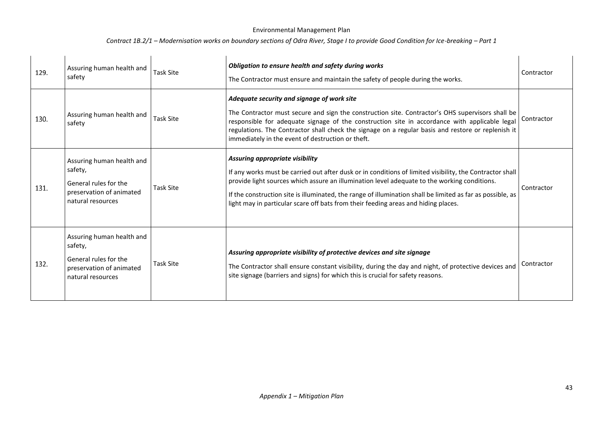| 129. | Assuring human health and<br>safety                                                                            | <b>Task Site</b> | Obligation to ensure health and safety during works<br>The Contractor must ensure and maintain the safety of people during the works.                                                                                                                                                                                                                                                                                                           | Contractor |
|------|----------------------------------------------------------------------------------------------------------------|------------------|-------------------------------------------------------------------------------------------------------------------------------------------------------------------------------------------------------------------------------------------------------------------------------------------------------------------------------------------------------------------------------------------------------------------------------------------------|------------|
| 130. | Assuring human health and<br>safety                                                                            | <b>Task Site</b> | Adequate security and signage of work site<br>The Contractor must secure and sign the construction site. Contractor's OHS supervisors shall be<br>responsible for adequate signage of the construction site in accordance with applicable legal<br>regulations. The Contractor shall check the signage on a regular basis and restore or replenish it<br>immediately in the event of destruction or theft.                                      | Contractor |
| 131. | Assuring human health and<br>safety,<br>General rules for the<br>preservation of animated<br>natural resources | Task Site        | Assuring appropriate visibility<br>If any works must be carried out after dusk or in conditions of limited visibility, the Contractor shall<br>provide light sources which assure an illumination level adequate to the working conditions.<br>If the construction site is illuminated, the range of illumination shall be limited as far as possible, as<br>light may in particular scare off bats from their feeding areas and hiding places. | Contractor |
| 132. | Assuring human health and<br>safety,<br>General rules for the<br>preservation of animated<br>natural resources | <b>Task Site</b> | Assuring appropriate visibility of protective devices and site signage<br>The Contractor shall ensure constant visibility, during the day and night, of protective devices and<br>site signage (barriers and signs) for which this is crucial for safety reasons.                                                                                                                                                                               | Contractor |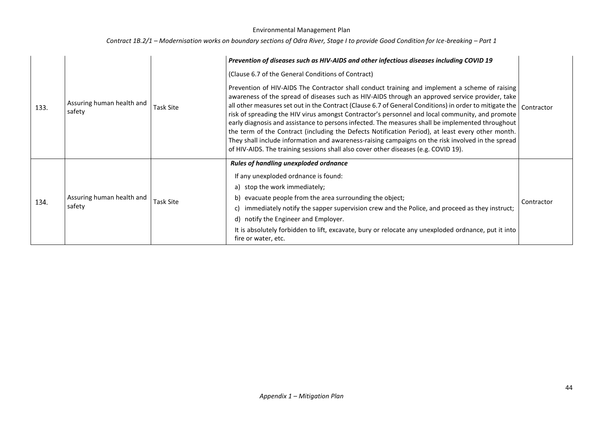| 133. | Assuring human health and<br>safety | Task Site        | Prevention of diseases such as HIV-AIDS and other infectious diseases including COVID 19<br>(Clause 6.7 of the General Conditions of Contract)<br>Prevention of HIV-AIDS The Contractor shall conduct training and implement a scheme of raising<br>awareness of the spread of diseases such as HIV-AIDS through an approved service provider, take<br>all other measures set out in the Contract (Clause 6.7 of General Conditions) in order to mitigate the $\vert$ Contractor<br>risk of spreading the HIV virus amongst Contractor's personnel and local community, and promote<br>early diagnosis and assistance to persons infected. The measures shall be implemented throughout<br>the term of the Contract (including the Defects Notification Period), at least every other month.<br>They shall include information and awareness-raising campaigns on the risk involved in the spread<br>of HIV-AIDS. The training sessions shall also cover other diseases (e.g. COVID 19). |            |
|------|-------------------------------------|------------------|------------------------------------------------------------------------------------------------------------------------------------------------------------------------------------------------------------------------------------------------------------------------------------------------------------------------------------------------------------------------------------------------------------------------------------------------------------------------------------------------------------------------------------------------------------------------------------------------------------------------------------------------------------------------------------------------------------------------------------------------------------------------------------------------------------------------------------------------------------------------------------------------------------------------------------------------------------------------------------------|------------|
| 134. | Assuring human health and<br>safety | <b>Task Site</b> | <b>Rules of handling unexploded ordnance</b><br>If any unexploded ordnance is found:<br>a) stop the work immediately;<br>b) evacuate people from the area surrounding the object;<br>immediately notify the sapper supervision crew and the Police, and proceed as they instruct;<br>d) notify the Engineer and Employer.<br>It is absolutely forbidden to lift, excavate, bury or relocate any unexploded ordnance, put it into<br>fire or water, etc.                                                                                                                                                                                                                                                                                                                                                                                                                                                                                                                                  | Contractor |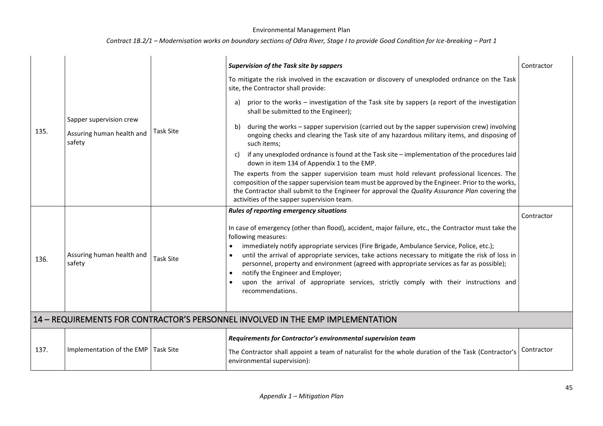## *Contract 1B.2/1 – Modernisation works on boundary sections of Odra River, Stage I to provide Good Condition for Ice-breaking – Part 1*

|      |                                                                |                  | <b>Supervision of the Task site by sappers</b>                                                                                                                                                                                                                                                                                                                                                                                                                                                                                                                                            | Contractor |
|------|----------------------------------------------------------------|------------------|-------------------------------------------------------------------------------------------------------------------------------------------------------------------------------------------------------------------------------------------------------------------------------------------------------------------------------------------------------------------------------------------------------------------------------------------------------------------------------------------------------------------------------------------------------------------------------------------|------------|
| 135. | Sapper supervision crew<br>Assuring human health and<br>safety |                  | To mitigate the risk involved in the excavation or discovery of unexploded ordnance on the Task<br>site, the Contractor shall provide:                                                                                                                                                                                                                                                                                                                                                                                                                                                    |            |
|      |                                                                |                  | a) prior to the works – investigation of the Task site by sappers (a report of the investigation<br>shall be submitted to the Engineer);                                                                                                                                                                                                                                                                                                                                                                                                                                                  |            |
|      |                                                                | <b>Task Site</b> | during the works - sapper supervision (carried out by the sapper supervision crew) involving<br>b)<br>ongoing checks and clearing the Task site of any hazardous military items, and disposing of<br>such items;                                                                                                                                                                                                                                                                                                                                                                          |            |
|      |                                                                |                  | if any unexploded ordnance is found at the Task site - implementation of the procedures laid<br>C)<br>down in item 134 of Appendix 1 to the EMP.                                                                                                                                                                                                                                                                                                                                                                                                                                          |            |
|      |                                                                |                  | The experts from the sapper supervision team must hold relevant professional licences. The<br>composition of the sapper supervision team must be approved by the Engineer. Prior to the works,<br>the Contractor shall submit to the Engineer for approval the Quality Assurance Plan covering the<br>activities of the sapper supervision team.                                                                                                                                                                                                                                          |            |
|      |                                                                |                  | Rules of reporting emergency situations                                                                                                                                                                                                                                                                                                                                                                                                                                                                                                                                                   | Contractor |
| 136. | Assuring human health and<br>safety                            | <b>Task Site</b> | In case of emergency (other than flood), accident, major failure, etc., the Contractor must take the<br>following measures:<br>immediately notify appropriate services (Fire Brigade, Ambulance Service, Police, etc.);<br>until the arrival of appropriate services, take actions necessary to mitigate the risk of loss in<br>personnel, property and environment (agreed with appropriate services as far as possible);<br>notify the Engineer and Employer;<br>$\bullet$<br>upon the arrival of appropriate services, strictly comply with their instructions and<br>recommendations. |            |
|      |                                                                |                  | 14 - REQUIREMENTS FOR CONTRACTOR'S PERSONNEL INVOLVED IN THE EMP IMPLEMENTATION                                                                                                                                                                                                                                                                                                                                                                                                                                                                                                           |            |
| 137. | Implementation of the EMP                                      | <b>Task Site</b> | Requirements for Contractor's environmental supervision team<br>The Contractor shall appoint a team of naturalist for the whole duration of the Task (Contractor's<br>environmental supervision):                                                                                                                                                                                                                                                                                                                                                                                         | Contractor |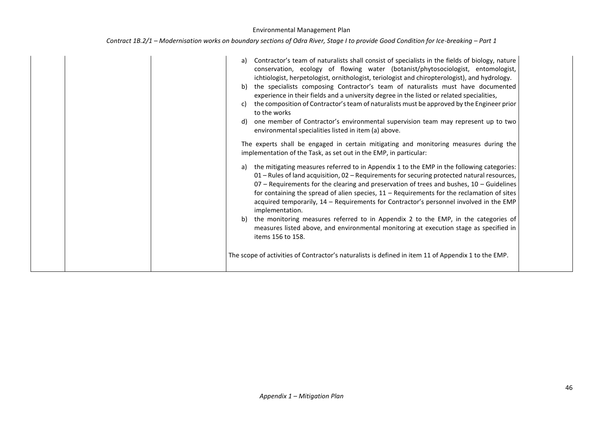| Contract 1B.2/1 – Modernisation works on boundary sections of Odra River, Stage I to provide Good Condition for Ice-breaking – Part 1 |  |  |  |
|---------------------------------------------------------------------------------------------------------------------------------------|--|--|--|
|---------------------------------------------------------------------------------------------------------------------------------------|--|--|--|

|  | Contractor's team of naturalists shall consist of specialists in the fields of biology, nature<br>a)<br>conservation, ecology of flowing water (botanist/phytosociologist, entomologist,<br>ichtiologist, herpetologist, ornithologist, teriologist and chiropterologist), and hydrology.<br>the specialists composing Contractor's team of naturalists must have documented<br>b)<br>experience in their fields and a university degree in the listed or related specialities,<br>the composition of Contractor's team of naturalists must be approved by the Engineer prior<br>C)<br>to the works<br>one member of Contractor's environmental supervision team may represent up to two<br>d)<br>environmental specialities listed in item (a) above.<br>The experts shall be engaged in certain mitigating and monitoring measures during the<br>implementation of the Task, as set out in the EMP, in particular:<br>the mitigating measures referred to in Appendix 1 to the EMP in the following categories:<br>a)<br>01 - Rules of land acquisition, 02 - Requirements for securing protected natural resources, |  |
|--|------------------------------------------------------------------------------------------------------------------------------------------------------------------------------------------------------------------------------------------------------------------------------------------------------------------------------------------------------------------------------------------------------------------------------------------------------------------------------------------------------------------------------------------------------------------------------------------------------------------------------------------------------------------------------------------------------------------------------------------------------------------------------------------------------------------------------------------------------------------------------------------------------------------------------------------------------------------------------------------------------------------------------------------------------------------------------------------------------------------------|--|
|  | $07$ – Requirements for the clearing and preservation of trees and bushes, $10$ – Guidelines<br>for containing the spread of alien species, $11 -$ Requirements for the reclamation of sites<br>acquired temporarily, 14 - Requirements for Contractor's personnel involved in the EMP<br>implementation.                                                                                                                                                                                                                                                                                                                                                                                                                                                                                                                                                                                                                                                                                                                                                                                                              |  |
|  | the monitoring measures referred to in Appendix 2 to the EMP, in the categories of<br>b)<br>measures listed above, and environmental monitoring at execution stage as specified in<br>items 156 to 158.                                                                                                                                                                                                                                                                                                                                                                                                                                                                                                                                                                                                                                                                                                                                                                                                                                                                                                                |  |
|  | The scope of activities of Contractor's naturalists is defined in item 11 of Appendix 1 to the EMP.                                                                                                                                                                                                                                                                                                                                                                                                                                                                                                                                                                                                                                                                                                                                                                                                                                                                                                                                                                                                                    |  |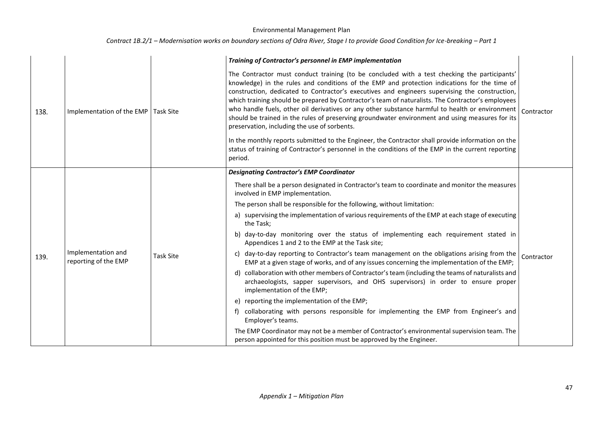|      |                                            |                  | Training of Contractor's personnel in EMP implementation                                                                                                                                                                                                                                                                                                                                                                                                                                                                                                                                                                                                  |            |  |
|------|--------------------------------------------|------------------|-----------------------------------------------------------------------------------------------------------------------------------------------------------------------------------------------------------------------------------------------------------------------------------------------------------------------------------------------------------------------------------------------------------------------------------------------------------------------------------------------------------------------------------------------------------------------------------------------------------------------------------------------------------|------------|--|
| 138. | Implementation of the EMP                  | <b>Task Site</b> | The Contractor must conduct training (to be concluded with a test checking the participants'<br>knowledge) in the rules and conditions of the EMP and protection indications for the time of<br>construction, dedicated to Contractor's executives and engineers supervising the construction,<br>which training should be prepared by Contractor's team of naturalists. The Contractor's employees<br>who handle fuels, other oil derivatives or any other substance harmful to health or environment<br>should be trained in the rules of preserving groundwater environment and using measures for its<br>preservation, including the use of sorbents. | Contractor |  |
|      |                                            |                  | In the monthly reports submitted to the Engineer, the Contractor shall provide information on the<br>status of training of Contractor's personnel in the conditions of the EMP in the current reporting<br>period.                                                                                                                                                                                                                                                                                                                                                                                                                                        |            |  |
|      |                                            | <b>Task Site</b> | <b>Designating Contractor's EMP Coordinator</b>                                                                                                                                                                                                                                                                                                                                                                                                                                                                                                                                                                                                           |            |  |
|      | Implementation and<br>reporting of the EMP |                  | There shall be a person designated in Contractor's team to coordinate and monitor the measures<br>involved in EMP implementation.                                                                                                                                                                                                                                                                                                                                                                                                                                                                                                                         |            |  |
|      |                                            |                  | The person shall be responsible for the following, without limitation:                                                                                                                                                                                                                                                                                                                                                                                                                                                                                                                                                                                    |            |  |
|      |                                            |                  | a) supervising the implementation of various requirements of the EMP at each stage of executing<br>the Task;                                                                                                                                                                                                                                                                                                                                                                                                                                                                                                                                              |            |  |
|      |                                            |                  | b) day-to-day monitoring over the status of implementing each requirement stated in<br>Appendices 1 and 2 to the EMP at the Task site;                                                                                                                                                                                                                                                                                                                                                                                                                                                                                                                    |            |  |
| 139. |                                            |                  | c) day-to-day reporting to Contractor's team management on the obligations arising from the<br>EMP at a given stage of works, and of any issues concerning the implementation of the EMP;                                                                                                                                                                                                                                                                                                                                                                                                                                                                 | Contractor |  |
|      |                                            |                  | d) collaboration with other members of Contractor's team (including the teams of naturalists and<br>archaeologists, sapper supervisors, and OHS supervisors) in order to ensure proper<br>implementation of the EMP;                                                                                                                                                                                                                                                                                                                                                                                                                                      |            |  |
|      |                                            |                  | e) reporting the implementation of the EMP;                                                                                                                                                                                                                                                                                                                                                                                                                                                                                                                                                                                                               |            |  |
|      |                                            |                  | collaborating with persons responsible for implementing the EMP from Engineer's and<br>f)<br>Employer's teams.                                                                                                                                                                                                                                                                                                                                                                                                                                                                                                                                            |            |  |
|      |                                            |                  | The EMP Coordinator may not be a member of Contractor's environmental supervision team. The<br>person appointed for this position must be approved by the Engineer.                                                                                                                                                                                                                                                                                                                                                                                                                                                                                       |            |  |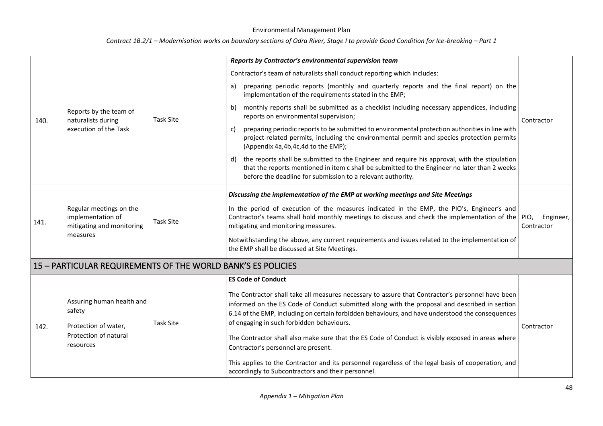|      |                                                                                       |                  | Reports by Contractor's environmental supervision team                                                                                                                                                                                                                                                                                             |                         |
|------|---------------------------------------------------------------------------------------|------------------|----------------------------------------------------------------------------------------------------------------------------------------------------------------------------------------------------------------------------------------------------------------------------------------------------------------------------------------------------|-------------------------|
| 140. |                                                                                       |                  | Contractor's team of naturalists shall conduct reporting which includes:                                                                                                                                                                                                                                                                           |                         |
|      |                                                                                       |                  | preparing periodic reports (monthly and quarterly reports and the final report) on the<br>a)<br>implementation of the requirements stated in the EMP;                                                                                                                                                                                              |                         |
|      | Reports by the team of<br>naturalists during                                          | <b>Task Site</b> | b) monthly reports shall be submitted as a checklist including necessary appendices, including<br>reports on environmental supervision;                                                                                                                                                                                                            | Contractor              |
|      | execution of the Task                                                                 |                  | preparing periodic reports to be submitted to environmental protection authorities in line with<br>C)<br>project-related permits, including the environmental permit and species protection permits<br>(Appendix 4a, 4b, 4c, 4d to the EMP);                                                                                                       |                         |
|      |                                                                                       |                  | d) the reports shall be submitted to the Engineer and require his approval, with the stipulation<br>that the reports mentioned in item c shall be submitted to the Engineer no later than 2 weeks<br>before the deadline for submission to a relevant authority.                                                                                   |                         |
|      |                                                                                       | <b>Task Site</b> | Discussing the implementation of the EMP at working meetings and Site Meetings                                                                                                                                                                                                                                                                     |                         |
| 141. | Regular meetings on the<br>implementation of<br>mitigating and monitoring<br>measures |                  | In the period of execution of the measures indicated in the EMP, the PIO's, Engineer's and<br>Contractor's teams shall hold monthly meetings to discuss and check the implementation of the PIO,<br>mitigating and monitoring measures.                                                                                                            | Engineer,<br>Contractor |
|      |                                                                                       |                  | Notwithstanding the above, any current requirements and issues related to the implementation of<br>the EMP shall be discussed at Site Meetings.                                                                                                                                                                                                    |                         |
|      | 15 - PARTICULAR REQUIREMENTS OF THE WORLD BANK'S ES POLICIES                          |                  |                                                                                                                                                                                                                                                                                                                                                    |                         |
|      |                                                                                       |                  | <b>ES Code of Conduct</b>                                                                                                                                                                                                                                                                                                                          |                         |
| 142. | Assuring human health and<br>safety<br>Protection of water,                           | <b>Task Site</b> | The Contractor shall take all measures necessary to assure that Contractor's personnel have been<br>informed on the ES Code of Conduct submitted along with the proposal and described in section<br>6.14 of the EMP, including on certain forbidden behaviours, and have understood the consequences<br>of engaging in such forbidden behaviours. | Contractor              |
|      | Protection of natural<br>resources                                                    |                  | The Contractor shall also make sure that the ES Code of Conduct is visibly exposed in areas where<br>Contractor's personnel are present.                                                                                                                                                                                                           |                         |
|      |                                                                                       |                  | This applies to the Contractor and its personnel regardless of the legal basis of cooperation, and<br>accordingly to Subcontractors and their personnel.                                                                                                                                                                                           |                         |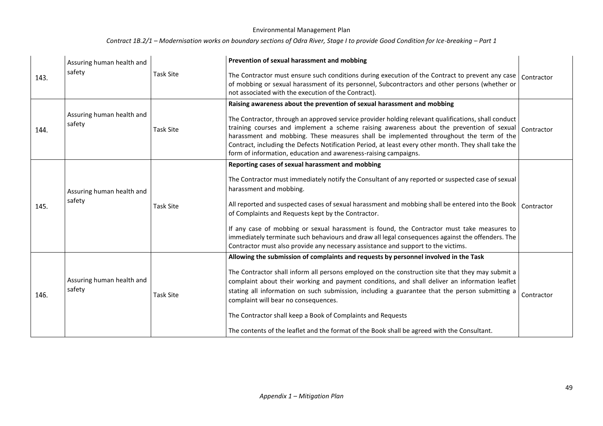| 143. | Assuring human health and<br>safety | Task Site        | Prevention of sexual harassment and mobbing<br>The Contractor must ensure such conditions during execution of the Contract to prevent any case<br>of mobbing or sexual harassment of its personnel, Subcontractors and other persons (whether or<br>not associated with the execution of the Contract).                                                                                                                                                                                                                                                                                                                                        | Contractor |
|------|-------------------------------------|------------------|------------------------------------------------------------------------------------------------------------------------------------------------------------------------------------------------------------------------------------------------------------------------------------------------------------------------------------------------------------------------------------------------------------------------------------------------------------------------------------------------------------------------------------------------------------------------------------------------------------------------------------------------|------------|
| 144. | Assuring human health and<br>safety | <b>Task Site</b> | Raising awareness about the prevention of sexual harassment and mobbing<br>The Contractor, through an approved service provider holding relevant qualifications, shall conduct<br>training courses and implement a scheme raising awareness about the prevention of sexual<br>harassment and mobbing. These measures shall be implemented throughout the term of the<br>Contract, including the Defects Notification Period, at least every other month. They shall take the<br>form of information, education and awareness-raising campaigns.                                                                                                | Contractor |
| 145. | Assuring human health and<br>safety | <b>Task Site</b> | Reporting cases of sexual harassment and mobbing<br>The Contractor must immediately notify the Consultant of any reported or suspected case of sexual<br>harassment and mobbing.<br>All reported and suspected cases of sexual harassment and mobbing shall be entered into the Book   Contractor<br>of Complaints and Requests kept by the Contractor.<br>If any case of mobbing or sexual harassment is found, the Contractor must take measures to<br>immediately terminate such behaviours and draw all legal consequences against the offenders. The<br>Contractor must also provide any necessary assistance and support to the victims. |            |
| 146. | Assuring human health and<br>safety | <b>Task Site</b> | Allowing the submission of complaints and requests by personnel involved in the Task<br>The Contractor shall inform all persons employed on the construction site that they may submit a<br>complaint about their working and payment conditions, and shall deliver an information leaflet<br>stating all information on such submission, including a guarantee that the person submitting a<br>complaint will bear no consequences.<br>The Contractor shall keep a Book of Complaints and Requests<br>The contents of the leaflet and the format of the Book shall be agreed with the Consultant.                                             | Contractor |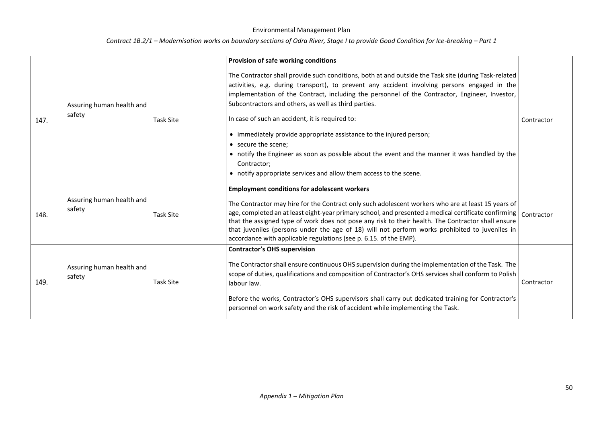|      |                                     |                  | Provision of safe working conditions                                                                                                                                                                                                                                                                                                                                                                                                                                                                                                             |            |  |  |
|------|-------------------------------------|------------------|--------------------------------------------------------------------------------------------------------------------------------------------------------------------------------------------------------------------------------------------------------------------------------------------------------------------------------------------------------------------------------------------------------------------------------------------------------------------------------------------------------------------------------------------------|------------|--|--|
| 147. | Assuring human health and<br>safety | <b>Task Site</b> | The Contractor shall provide such conditions, both at and outside the Task site (during Task-related<br>activities, e.g. during transport), to prevent any accident involving persons engaged in the<br>implementation of the Contract, including the personnel of the Contractor, Engineer, Investor,<br>Subcontractors and others, as well as third parties.<br>In case of such an accident, it is required to:                                                                                                                                | Contractor |  |  |
|      |                                     |                  | • immediately provide appropriate assistance to the injured person;<br>• secure the scene;<br>• notify the Engineer as soon as possible about the event and the manner it was handled by the<br>Contractor;<br>• notify appropriate services and allow them access to the scene.                                                                                                                                                                                                                                                                 |            |  |  |
| 148. | Assuring human health and<br>safety | <b>Task Site</b> | <b>Employment conditions for adolescent workers</b><br>The Contractor may hire for the Contract only such adolescent workers who are at least 15 years of<br>age, completed an at least eight-year primary school, and presented a medical certificate confirming  <br>that the assigned type of work does not pose any risk to their health. The Contractor shall ensure<br>that juveniles (persons under the age of 18) will not perform works prohibited to juveniles in<br>accordance with applicable regulations (see p. 6.15. of the EMP). | Contractor |  |  |
| 149. | Assuring human health and<br>safety | <b>Task Site</b> | <b>Contractor's OHS supervision</b><br>The Contractor shall ensure continuous OHS supervision during the implementation of the Task. The<br>scope of duties, qualifications and composition of Contractor's OHS services shall conform to Polish<br>labour law.<br>Before the works, Contractor's OHS supervisors shall carry out dedicated training for Contractor's<br>personnel on work safety and the risk of accident while implementing the Task.                                                                                          | Contractor |  |  |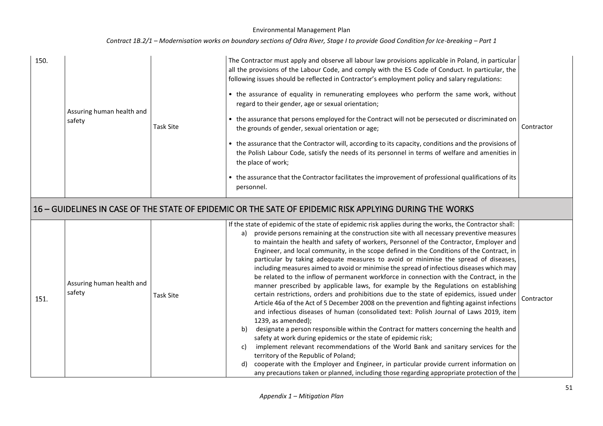| Contract 1B.2/1 - Modernisation works on boundary sections of Odra River, Stage I to provide Good Condition for Ice-breaking - Part 1 |  |  |  |
|---------------------------------------------------------------------------------------------------------------------------------------|--|--|--|
|---------------------------------------------------------------------------------------------------------------------------------------|--|--|--|

| 150. | Assuring human health and<br>safety | <b>Task Site</b> | The Contractor must apply and observe all labour law provisions applicable in Poland, in particular<br>all the provisions of the Labour Code, and comply with the ES Code of Conduct. In particular, the<br>following issues should be reflected in Contractor's employment policy and salary regulations:<br>• the assurance of equality in remunerating employees who perform the same work, without<br>regard to their gender, age or sexual orientation;<br>• the assurance that persons employed for the Contract will not be persecuted or discriminated on<br>the grounds of gender, sexual orientation or age;<br>• the assurance that the Contractor will, according to its capacity, conditions and the provisions of<br>the Polish Labour Code, satisfy the needs of its personnel in terms of welfare and amenities in<br>the place of work;<br>• the assurance that the Contractor facilitates the improvement of professional qualifications of its<br>personnel.                                                                                                                                                                                                                                                                                                                                                                                                                                                                                                                                                                                                           | Contractor |
|------|-------------------------------------|------------------|-------------------------------------------------------------------------------------------------------------------------------------------------------------------------------------------------------------------------------------------------------------------------------------------------------------------------------------------------------------------------------------------------------------------------------------------------------------------------------------------------------------------------------------------------------------------------------------------------------------------------------------------------------------------------------------------------------------------------------------------------------------------------------------------------------------------------------------------------------------------------------------------------------------------------------------------------------------------------------------------------------------------------------------------------------------------------------------------------------------------------------------------------------------------------------------------------------------------------------------------------------------------------------------------------------------------------------------------------------------------------------------------------------------------------------------------------------------------------------------------------------------------------------------------------------------------------------------------|------------|
|      |                                     |                  | 16 – GUIDELINES IN CASE OF THE STATE OF EPIDEMIC OR THE SATE OF EPIDEMIC RISK APPLYING DURING THE WORKS                                                                                                                                                                                                                                                                                                                                                                                                                                                                                                                                                                                                                                                                                                                                                                                                                                                                                                                                                                                                                                                                                                                                                                                                                                                                                                                                                                                                                                                                                   |            |
| 151. | Assuring human health and<br>safety | <b>Task Site</b> | If the state of epidemic of the state of epidemic risk applies during the works, the Contractor shall:<br>provide persons remaining at the construction site with all necessary preventive measures<br>a)<br>to maintain the health and safety of workers, Personnel of the Contractor, Employer and<br>Engineer, and local community, in the scope defined in the Conditions of the Contract, in<br>particular by taking adequate measures to avoid or minimise the spread of diseases,<br>including measures aimed to avoid or minimise the spread of infectious diseases which may<br>be related to the inflow of permanent workforce in connection with the Contract, in the<br>manner prescribed by applicable laws, for example by the Regulations on establishing<br>certain restrictions, orders and prohibitions due to the state of epidemics, issued under<br>Article 46a of the Act of 5 December 2008 on the prevention and fighting against infections<br>and infectious diseases of human (consolidated text: Polish Journal of Laws 2019, item<br>1239, as amended);<br>designate a person responsible within the Contract for matters concerning the health and<br>b)<br>safety at work during epidemics or the state of epidemic risk;<br>implement relevant recommendations of the World Bank and sanitary services for the<br>C)<br>territory of the Republic of Poland;<br>cooperate with the Employer and Engineer, in particular provide current information on<br>d)<br>any precautions taken or planned, including those regarding appropriate protection of the | Contractor |